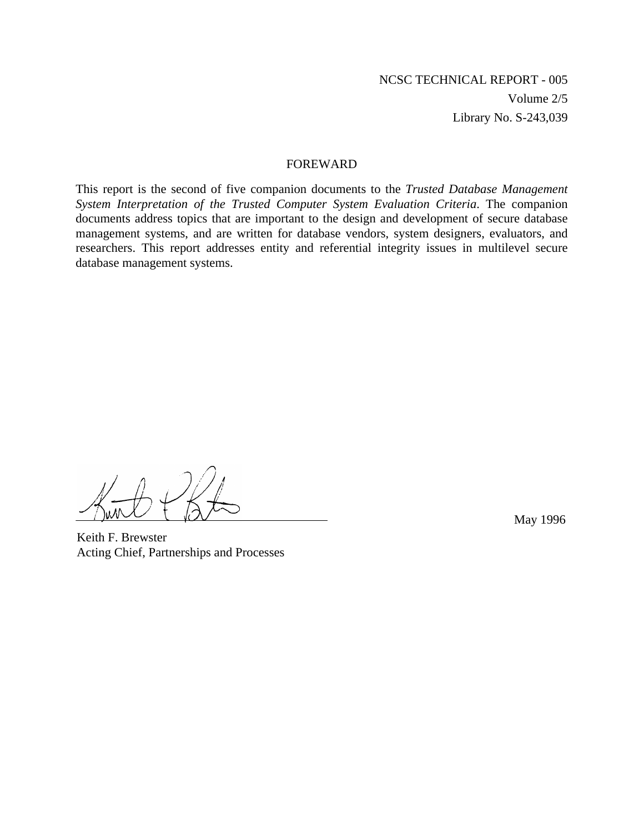#### FOREWARD

This report is the second of five companion documents to the *Trusted Database Management System Interpretation of the Trusted Computer System Evaluation Criteria*. The companion documents address topics that are important to the design and development of secure database management systems, and are written for database vendors, system designers, evaluators, and researchers. This report addresses entity and referential integrity issues in multilevel secure database management systems.

Keith F. Brewster Acting Chief, Partnerships and Processes

May 1996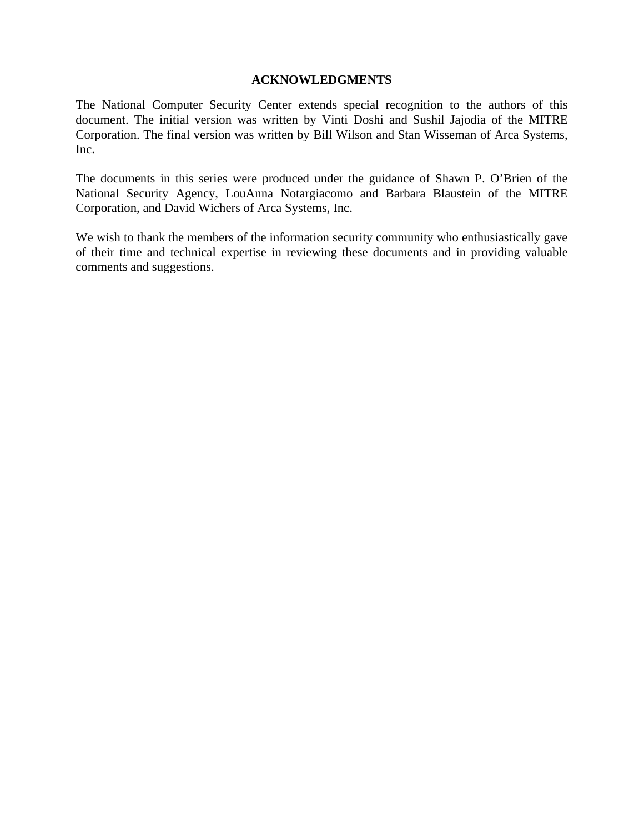#### **ACKNOWLEDGMENTS**

The National Computer Security Center extends special recognition to the authors of this document. The initial version was written by Vinti Doshi and Sushil Jajodia of the MITRE Corporation. The final version was written by Bill Wilson and Stan Wisseman of Arca Systems, Inc.

The documents in this series were produced under the guidance of Shawn P. O'Brien of the National Security Agency, LouAnna Notargiacomo and Barbara Blaustein of the MITRE Corporation, and David Wichers of Arca Systems, Inc.

We wish to thank the members of the information security community who enthusiastically gave of their time and technical expertise in reviewing these documents and in providing valuable comments and suggestions.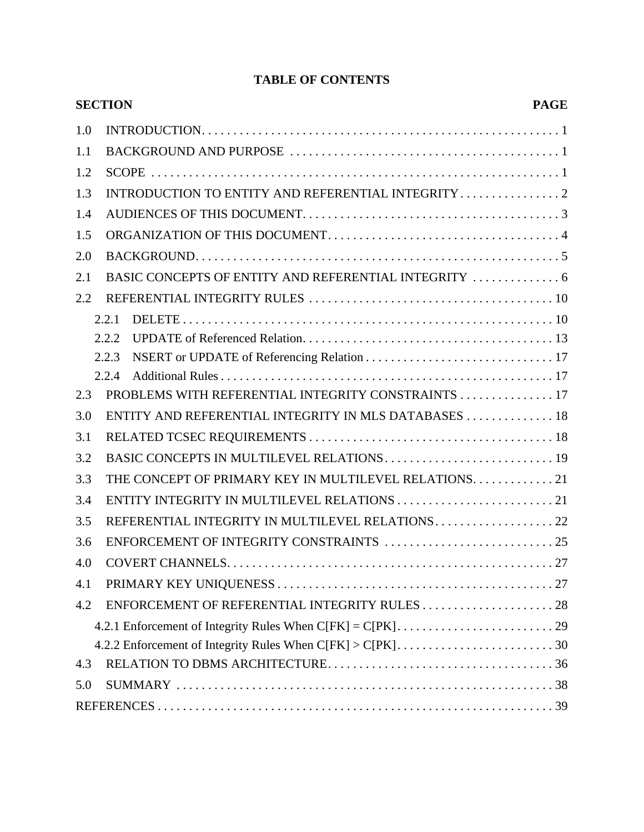# **TABLE OF CONTENTS**

|     | <b>SECTION</b> | <b>PAGE</b>                                           |  |
|-----|----------------|-------------------------------------------------------|--|
| 1.0 |                |                                                       |  |
| 1.1 |                |                                                       |  |
| 1.2 |                |                                                       |  |
| 1.3 |                | INTRODUCTION TO ENTITY AND REFERENTIAL INTEGRITY 2    |  |
| 1.4 |                |                                                       |  |
| 1.5 |                |                                                       |  |
| 2.0 |                |                                                       |  |
| 2.1 |                |                                                       |  |
| 2.2 |                |                                                       |  |
|     | 2.2.1          |                                                       |  |
|     | 2.2.2          |                                                       |  |
|     | 2.2.3          |                                                       |  |
|     | 2.2.4          |                                                       |  |
| 2.3 |                | PROBLEMS WITH REFERENTIAL INTEGRITY CONSTRAINTS 17    |  |
| 3.0 |                | ENTITY AND REFERENTIAL INTEGRITY IN MLS DATABASES  18 |  |
| 3.1 |                |                                                       |  |
| 3.2 |                |                                                       |  |
| 3.3 |                | THE CONCEPT OF PRIMARY KEY IN MULTILEVEL RELATIONS21  |  |
| 3.4 |                |                                                       |  |
| 3.5 |                | REFERENTIAL INTEGRITY IN MULTILEVEL RELATIONS22       |  |
| 3.6 |                |                                                       |  |
| 4.0 |                |                                                       |  |
| 4.1 |                |                                                       |  |
| 4.2 |                |                                                       |  |
|     |                |                                                       |  |
|     |                |                                                       |  |
| 4.3 |                |                                                       |  |
| 5.0 |                |                                                       |  |
|     |                |                                                       |  |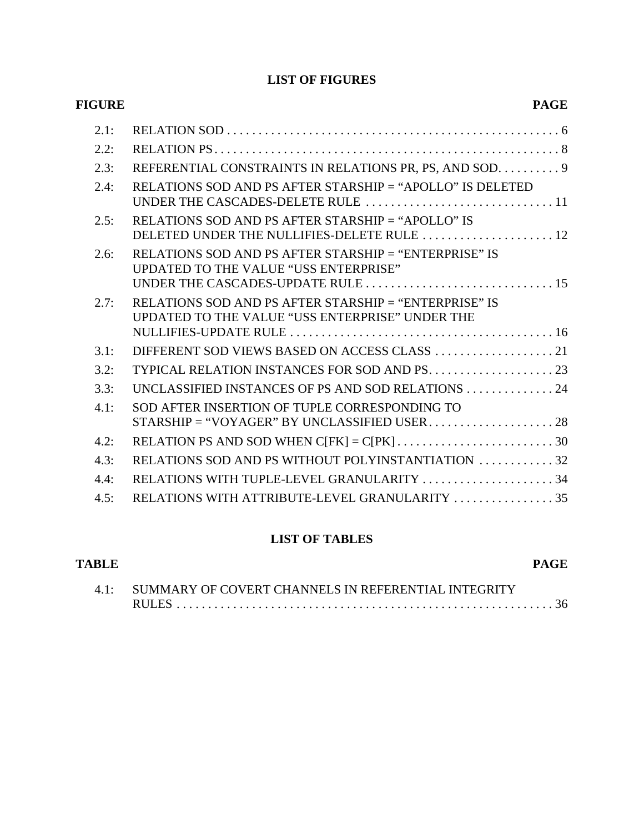# **LIST OF FIGURES**

| <b>PAGE</b>                                                                                              | <b>FIGURE</b> |
|----------------------------------------------------------------------------------------------------------|---------------|
|                                                                                                          | 2.1:          |
|                                                                                                          | 2.2:          |
| REFERENTIAL CONSTRAINTS IN RELATIONS PR, PS, AND SOD. 9                                                  | 2.3:          |
| RELATIONS SOD AND PS AFTER STARSHIP = "APOLLO" IS DELETED                                                | 2.4:          |
| RELATIONS SOD AND PS AFTER STARSHIP = "APOLLO" IS<br>DELETED UNDER THE NULLIFIES-DELETE RULE  12         | 2.5:          |
| RELATIONS SOD AND PS AFTER STARSHIP = "ENTERPRISE" IS<br><b>UPDATED TO THE VALUE "USS ENTERPRISE"</b>    | 2.6:          |
| RELATIONS SOD AND PS AFTER STARSHIP = "ENTERPRISE" IS<br>UPDATED TO THE VALUE "USS ENTERPRISE" UNDER THE | 2.7:          |
|                                                                                                          | 3.1:          |
|                                                                                                          | 3.2:          |
| UNCLASSIFIED INSTANCES OF PS AND SOD RELATIONS 24                                                        | 3.3:          |
| SOD AFTER INSERTION OF TUPLE CORRESPONDING TO                                                            | 4.1:          |
|                                                                                                          | 4.2:          |
| RELATIONS SOD AND PS WITHOUT POLYINSTANTIATION 32                                                        | 4.3:          |
| RELATIONS WITH TUPLE-LEVEL GRANULARITY 34                                                                | 4.4:          |
| RELATIONS WITH ATTRIBUTE-LEVEL GRANULARITY  35                                                           | 4.5:          |

# **LIST OF TABLES**

| TABLE |                                                          | PAGE |
|-------|----------------------------------------------------------|------|
|       | 4.1: SUMMARY OF COVERT CHANNELS IN REFERENTIAL INTEGRITY |      |
|       |                                                          |      |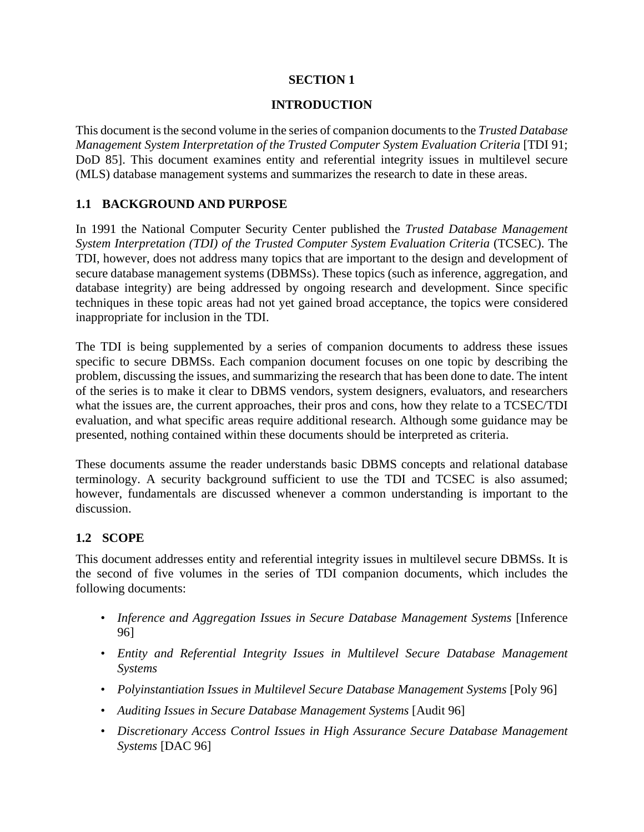### **SECTION 1**

#### **INTRODUCTION**

This document is the second volume in the series of companion documents to the *Trusted Database Management System Interpretation of the Trusted Computer System Evaluation Criteria* [TDI 91; DoD 85]. This document examines entity and referential integrity issues in multilevel secure (MLS) database management systems and summarizes the research to date in these areas.

### **1.1 BACKGROUND AND PURPOSE**

In 1991 the National Computer Security Center published the *Trusted Database Management System Interpretation (TDI) of the Trusted Computer System Evaluation Criteria* (TCSEC). The TDI, however, does not address many topics that are important to the design and development of secure database management systems (DBMSs). These topics (such as inference, aggregation, and database integrity) are being addressed by ongoing research and development. Since specific techniques in these topic areas had not yet gained broad acceptance, the topics were considered inappropriate for inclusion in the TDI.

The TDI is being supplemented by a series of companion documents to address these issues specific to secure DBMSs. Each companion document focuses on one topic by describing the problem, discussing the issues, and summarizing the research that has been done to date. The intent of the series is to make it clear to DBMS vendors, system designers, evaluators, and researchers what the issues are, the current approaches, their pros and cons, how they relate to a TCSEC/TDI evaluation, and what specific areas require additional research. Although some guidance may be presented, nothing contained within these documents should be interpreted as criteria.

These documents assume the reader understands basic DBMS concepts and relational database terminology. A security background sufficient to use the TDI and TCSEC is also assumed; however, fundamentals are discussed whenever a common understanding is important to the discussion.

## **1.2 SCOPE**

This document addresses entity and referential integrity issues in multilevel secure DBMSs. It is the second of five volumes in the series of TDI companion documents, which includes the following documents:

- *Inference and Aggregation Issues in Secure Database Management Systems* [Inference 96]
- *Entity and Referential Integrity Issues in Multilevel Secure Database Management Systems*
- *Polyinstantiation Issues in Multilevel Secure Database Management Systems* [Poly 96]
- *Auditing Issues in Secure Database Management Systems* [Audit 96]
- *Discretionary Access Control Issues in High Assurance Secure Database Management Systems* [DAC 96]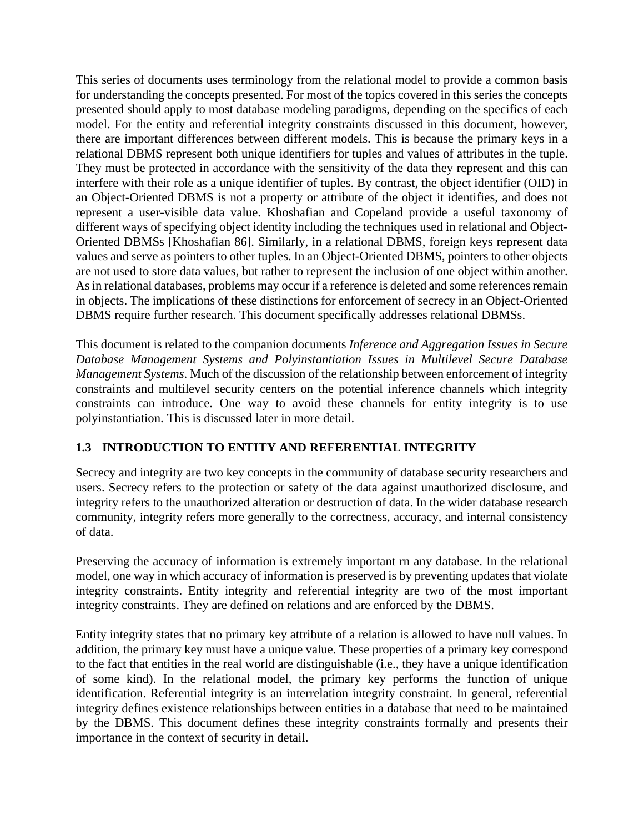This series of documents uses terminology from the relational model to provide a common basis for understanding the concepts presented. For most of the topics covered in this series the concepts presented should apply to most database modeling paradigms, depending on the specifics of each model. For the entity and referential integrity constraints discussed in this document, however, there are important differences between different models. This is because the primary keys in a relational DBMS represent both unique identifiers for tuples and values of attributes in the tuple. They must be protected in accordance with the sensitivity of the data they represent and this can interfere with their role as a unique identifier of tuples. By contrast, the object identifier (OID) in an Object-Oriented DBMS is not a property or attribute of the object it identifies, and does not represent a user-visible data value. Khoshafian and Copeland provide a useful taxonomy of different ways of specifying object identity including the techniques used in relational and Object-Oriented DBMSs [Khoshafian 86]. Similarly, in a relational DBMS, foreign keys represent data values and serve as pointers to other tuples. In an Object-Oriented DBMS, pointers to other objects are not used to store data values, but rather to represent the inclusion of one object within another. As in relational databases, problems may occur if a reference is deleted and some references remain in objects. The implications of these distinctions for enforcement of secrecy in an Object-Oriented DBMS require further research. This document specifically addresses relational DBMSs.

This document is related to the companion documents *Inference and Aggregation Issues in Secure Database Management Systems and Polyinstantiation Issues in Multilevel Secure Database Management Systems*. Much of the discussion of the relationship between enforcement of integrity constraints and multilevel security centers on the potential inference channels which integrity constraints can introduce. One way to avoid these channels for entity integrity is to use polyinstantiation. This is discussed later in more detail.

# **1.3 INTRODUCTION TO ENTITY AND REFERENTIAL INTEGRITY**

Secrecy and integrity are two key concepts in the community of database security researchers and users. Secrecy refers to the protection or safety of the data against unauthorized disclosure, and integrity refers to the unauthorized alteration or destruction of data. In the wider database research community, integrity refers more generally to the correctness, accuracy, and internal consistency of data.

Preserving the accuracy of information is extremely important rn any database. In the relational model, one way in which accuracy of information is preserved is by preventing updates that violate integrity constraints. Entity integrity and referential integrity are two of the most important integrity constraints. They are defined on relations and are enforced by the DBMS.

Entity integrity states that no primary key attribute of a relation is allowed to have null values. In addition, the primary key must have a unique value. These properties of a primary key correspond to the fact that entities in the real world are distinguishable (i.e., they have a unique identification of some kind). In the relational model, the primary key performs the function of unique identification. Referential integrity is an interrelation integrity constraint. In general, referential integrity defines existence relationships between entities in a database that need to be maintained by the DBMS. This document defines these integrity constraints formally and presents their importance in the context of security in detail.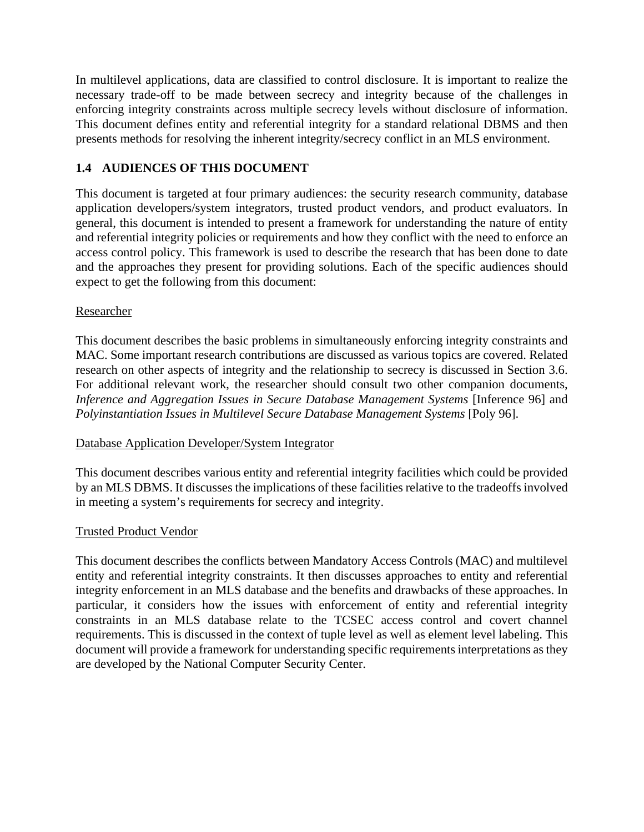In multilevel applications, data are classified to control disclosure. It is important to realize the necessary trade-off to be made between secrecy and integrity because of the challenges in enforcing integrity constraints across multiple secrecy levels without disclosure of information. This document defines entity and referential integrity for a standard relational DBMS and then presents methods for resolving the inherent integrity/secrecy conflict in an MLS environment.

# **1.4 AUDIENCES OF THIS DOCUMENT**

This document is targeted at four primary audiences: the security research community, database application developers/system integrators, trusted product vendors, and product evaluators. In general, this document is intended to present a framework for understanding the nature of entity and referential integrity policies or requirements and how they conflict with the need to enforce an access control policy. This framework is used to describe the research that has been done to date and the approaches they present for providing solutions. Each of the specific audiences should expect to get the following from this document:

## Researcher

This document describes the basic problems in simultaneously enforcing integrity constraints and MAC. Some important research contributions are discussed as various topics are covered. Related research on other aspects of integrity and the relationship to secrecy is discussed in Section 3.6. For additional relevant work, the researcher should consult two other companion documents, *Inference and Aggregation Issues in Secure Database Management Systems* [Inference 96] and *Polyinstantiation Issues in Multilevel Secure Database Management Systems* [Poly 96].

#### Database Application Developer/System Integrator

This document describes various entity and referential integrity facilities which could be provided by an MLS DBMS. It discusses the implications of these facilities relative to the tradeoffs involved in meeting a system's requirements for secrecy and integrity.

#### Trusted Product Vendor

This document describes the conflicts between Mandatory Access Controls (MAC) and multilevel entity and referential integrity constraints. It then discusses approaches to entity and referential integrity enforcement in an MLS database and the benefits and drawbacks of these approaches. In particular, it considers how the issues with enforcement of entity and referential integrity constraints in an MLS database relate to the TCSEC access control and covert channel requirements. This is discussed in the context of tuple level as well as element level labeling. This document will provide a framework for understanding specific requirements interpretations as they are developed by the National Computer Security Center.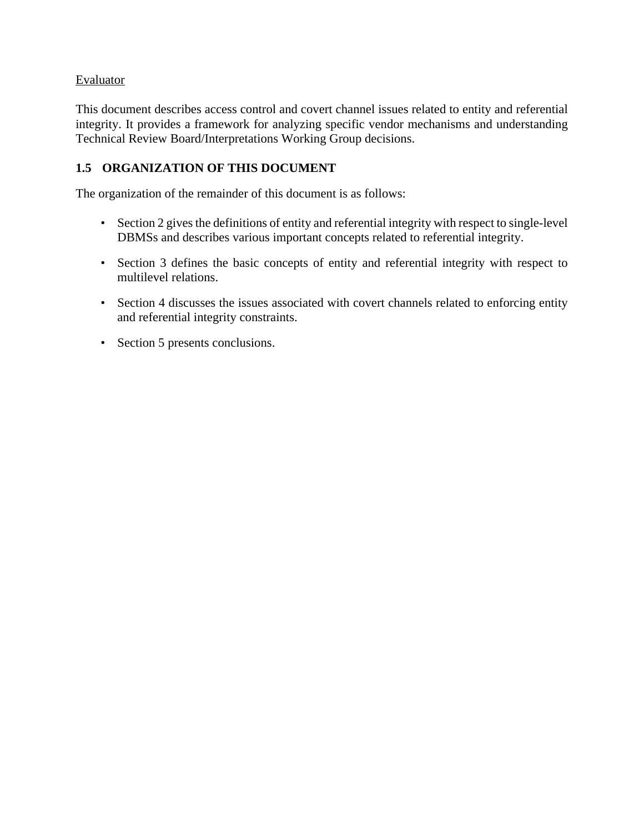# Evaluator

This document describes access control and covert channel issues related to entity and referential integrity. It provides a framework for analyzing specific vendor mechanisms and understanding Technical Review Board/Interpretations Working Group decisions.

# **1.5 ORGANIZATION OF THIS DOCUMENT**

The organization of the remainder of this document is as follows:

- Section 2 gives the definitions of entity and referential integrity with respect to single-level DBMSs and describes various important concepts related to referential integrity.
- Section 3 defines the basic concepts of entity and referential integrity with respect to multilevel relations.
- Section 4 discusses the issues associated with covert channels related to enforcing entity and referential integrity constraints.
- Section 5 presents conclusions.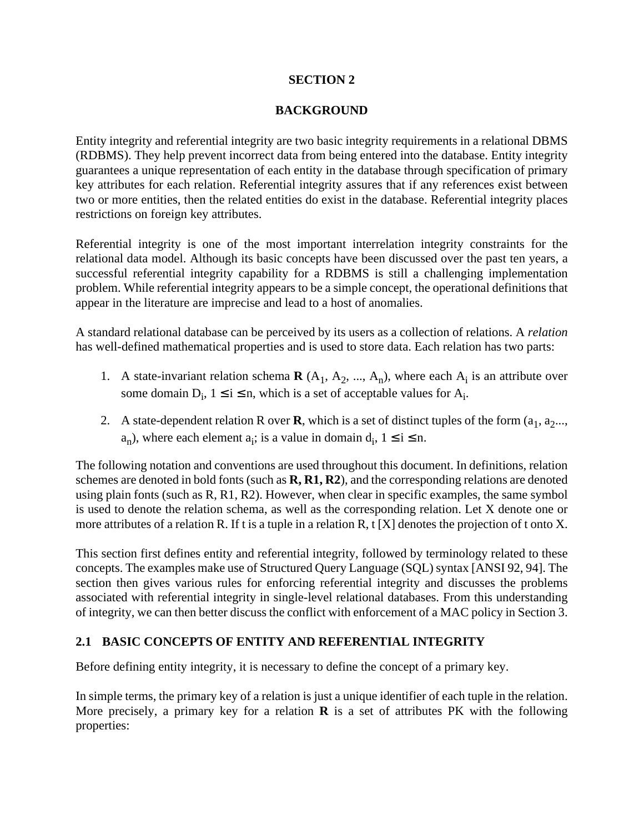### **SECTION 2**

### **BACKGROUND**

Entity integrity and referential integrity are two basic integrity requirements in a relational DBMS (RDBMS). They help prevent incorrect data from being entered into the database. Entity integrity guarantees a unique representation of each entity in the database through specification of primary key attributes for each relation. Referential integrity assures that if any references exist between two or more entities, then the related entities do exist in the database. Referential integrity places restrictions on foreign key attributes.

Referential integrity is one of the most important interrelation integrity constraints for the relational data model. Although its basic concepts have been discussed over the past ten years, a successful referential integrity capability for a RDBMS is still a challenging implementation problem. While referential integrity appears to be a simple concept, the operational definitions that appear in the literature are imprecise and lead to a host of anomalies.

A standard relational database can be perceived by its users as a collection of relations. A *relation* has well-defined mathematical properties and is used to store data. Each relation has two parts:

- 1. A state-invariant relation schema  $\mathbf{R}$  (A<sub>1</sub>, A<sub>2</sub>, ..., A<sub>n</sub>), where each A<sub>i</sub> is an attribute over some domain  $D_i$ ,  $1 \le i \le n$ , which is a set of acceptable values for  $A_i$ .
- 2. A state-dependent relation R over **R**, which is a set of distinct tuples of the form  $(a_1, a_2...$  $a_n$ ), where each element  $a_i$ ; is a value in domain  $d_i$ ,  $1 \le i \le n$ .

The following notation and conventions are used throughout this document. In definitions, relation schemes are denoted in bold fonts (such as **R, R1, R2**), and the corresponding relations are denoted using plain fonts (such as R, R1, R2). However, when clear in specific examples, the same symbol is used to denote the relation schema, as well as the corresponding relation. Let X denote one or more attributes of a relation R. If t is a tuple in a relation R, t [X] denotes the projection of t onto X.

This section first defines entity and referential integrity, followed by terminology related to these concepts. The examples make use of Structured Query Language (SQL) syntax [ANSI 92, 94]. The section then gives various rules for enforcing referential integrity and discusses the problems associated with referential integrity in single-level relational databases. From this understanding of integrity, we can then better discuss the conflict with enforcement of a MAC policy in Section 3.

## **2.1 BASIC CONCEPTS OF ENTITY AND REFERENTIAL INTEGRITY**

Before defining entity integrity, it is necessary to define the concept of a primary key.

In simple terms, the primary key of a relation is just a unique identifier of each tuple in the relation. More precisely, a primary key for a relation **R** is a set of attributes PK with the following properties: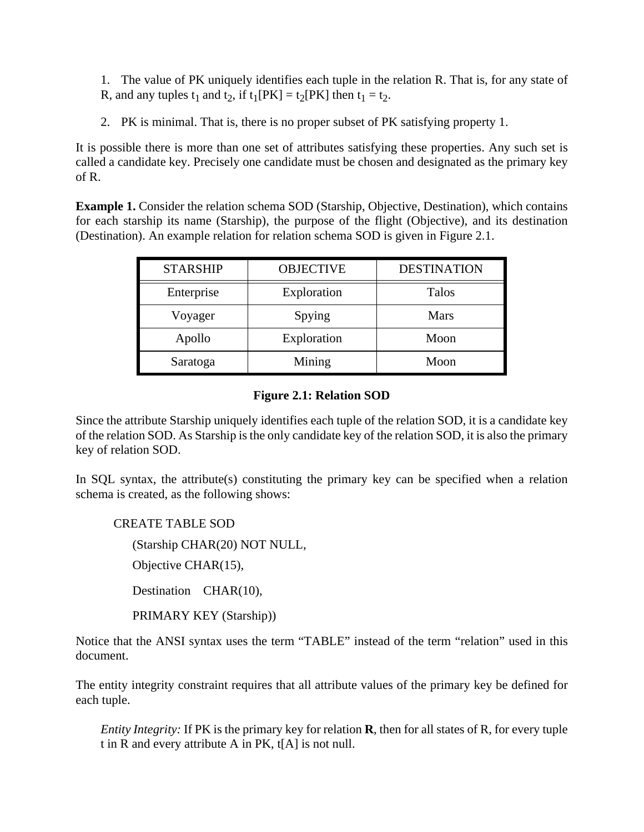1. The value of PK uniquely identifies each tuple in the relation R. That is, for any state of R, and any tuples  $t_1$  and  $t_2$ , if  $t_1[PK] = t_2[PK]$  then  $t_1 = t_2$ .

2. PK is minimal. That is, there is no proper subset of PK satisfying property 1.

It is possible there is more than one set of attributes satisfying these properties. Any such set is called a candidate key. Precisely one candidate must be chosen and designated as the primary key of R.

**Example 1.** Consider the relation schema SOD (Starship, Objective, Destination), which contains for each starship its name (Starship), the purpose of the flight (Objective), and its destination (Destination). An example relation for relation schema SOD is given in Figure 2.1.

| <b>STARSHIP</b> | <b>OBJECTIVE</b> | <b>DESTINATION</b> |
|-----------------|------------------|--------------------|
| Enterprise      | Exploration      | <b>Talos</b>       |
| Voyager         | Spying           | <b>Mars</b>        |
| Apollo          | Exploration      | Moon               |
| Saratoga        | Mining           | Moon               |

### **Figure 2.1: Relation SOD**

Since the attribute Starship uniquely identifies each tuple of the relation SOD, it is a candidate key of the relation SOD. As Starship is the only candidate key of the relation SOD, it is also the primary key of relation SOD.

In SQL syntax, the attribute(s) constituting the primary key can be specified when a relation schema is created, as the following shows:

CREATE TABLE SOD (Starship CHAR(20) NOT NULL, Objective CHAR(15), Destination CHAR(10), PRIMARY KEY (Starship))

Notice that the ANSI syntax uses the term "TABLE" instead of the term "relation" used in this document.

The entity integrity constraint requires that all attribute values of the primary key be defined for each tuple.

*Entity Integrity:* If PK is the primary key for relation **R**, then for all states of R, for every tuple t in R and every attribute A in PK, t[A] is not null.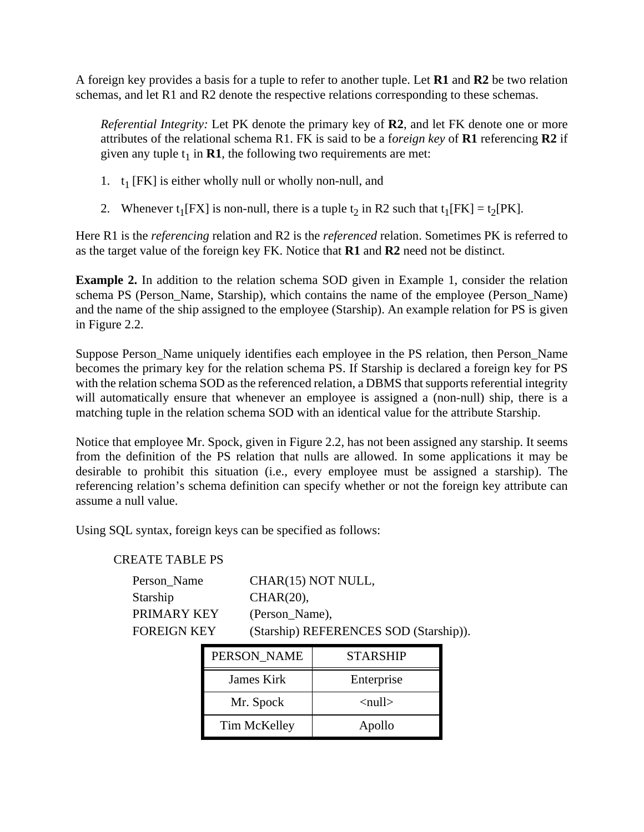A foreign key provides a basis for a tuple to refer to another tuple. Let **R1** and **R2** be two relation schemas, and let R1 and R2 denote the respective relations corresponding to these schemas.

*Referential Integrity:* Let PK denote the primary key of **R2**, and let FK denote one or more attributes of the relational schema R1. FK is said to be a f*oreign key* of **R1** referencing **R2** if given any tuple  $t_1$  in **R1**, the following two requirements are met:

- 1.  $t_1$  [FK] is either wholly null or wholly non-null, and
- 2. Whenever  $t_1[FX]$  is non-null, there is a tuple  $t_2$  in R2 such that  $t_1[FK] = t_2[PK]$ .

Here R1 is the *referencing* relation and R2 is the *referenced* relation. Sometimes PK is referred to as the target value of the foreign key FK. Notice that **R1** and **R2** need not be distinct.

**Example 2.** In addition to the relation schema SOD given in Example 1, consider the relation schema PS (Person\_Name, Starship), which contains the name of the employee (Person\_Name) and the name of the ship assigned to the employee (Starship). An example relation for PS is given in Figure 2.2.

Suppose Person\_Name uniquely identifies each employee in the PS relation, then Person\_Name becomes the primary key for the relation schema PS. If Starship is declared a foreign key for PS with the relation schema SOD as the referenced relation, a DBMS that supports referential integrity will automatically ensure that whenever an employee is assigned a (non-null) ship, there is a matching tuple in the relation schema SOD with an identical value for the attribute Starship.

Notice that employee Mr. Spock, given in Figure 2.2, has not been assigned any starship. It seems from the definition of the PS relation that nulls are allowed. In some applications it may be desirable to prohibit this situation (i.e., every employee must be assigned a starship). The referencing relation's schema definition can specify whether or not the foreign key attribute can assume a null value.

Using SQL syntax, foreign keys can be specified as follows:

#### CREATE TABLE PS

| Person Name | CHAR(15) NOT NULL,                     |
|-------------|----------------------------------------|
| Starship    | $CHAR(20)$ ,                           |
| PRIMARY KEY | (Person_Name),                         |
| FOREIGN KEY | (Starship) REFERENCES SOD (Starship)). |

| PERSON NAME  | <b>STARSHIP</b>               |
|--------------|-------------------------------|
| James Kirk   | Enterprise                    |
| Mr. Spock    | $\langle \text{null} \rangle$ |
| Tim McKelley | Apollo                        |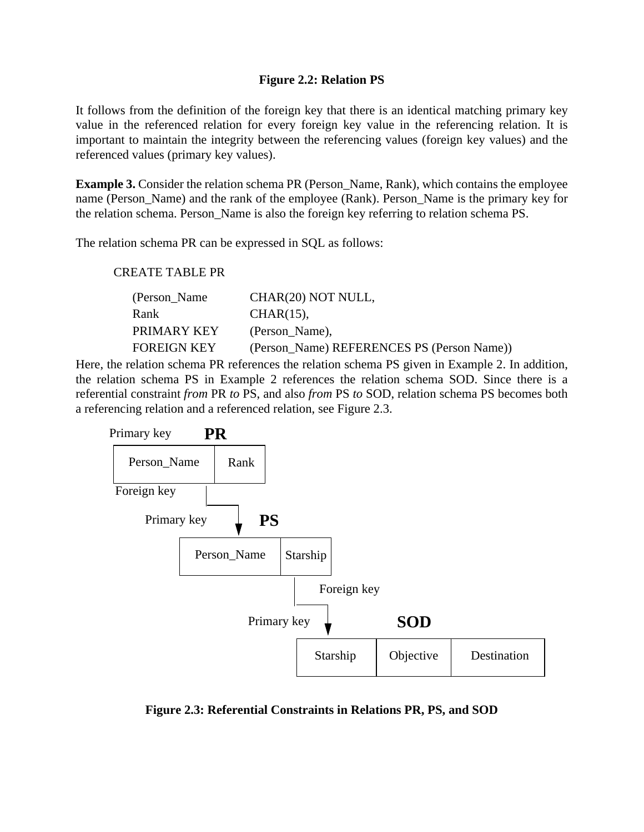### **Figure 2.2: Relation PS**

It follows from the definition of the foreign key that there is an identical matching primary key value in the referenced relation for every foreign key value in the referencing relation. It is important to maintain the integrity between the referencing values (foreign key values) and the referenced values (primary key values).

**Example 3.** Consider the relation schema PR (Person\_Name, Rank), which contains the employee name (Person\_Name) and the rank of the employee (Rank). Person\_Name is the primary key for the relation schema. Person\_Name is also the foreign key referring to relation schema PS.

The relation schema PR can be expressed in SQL as follows:

#### CREATE TABLE PR

| (Person_Name)      | CHAR(20) NOT NULL,                         |
|--------------------|--------------------------------------------|
| <b>Rank</b>        | $CHAR(15)$ ,                               |
| <b>PRIMARY KEY</b> | (Person_Name),                             |
| <b>FOREIGN KEY</b> | (Person Name) REFERENCES PS (Person Name)) |

Here, the relation schema PR references the relation schema PS given in Example 2. In addition, the relation schema PS in Example 2 references the relation schema SOD. Since there is a referential constraint *from* PR *to* PS, and also *from* PS *to* SOD, relation schema PS becomes both a referencing relation and a referenced relation, see Figure 2.3.



**Figure 2.3: Referential Constraints in Relations PR, PS, and SOD**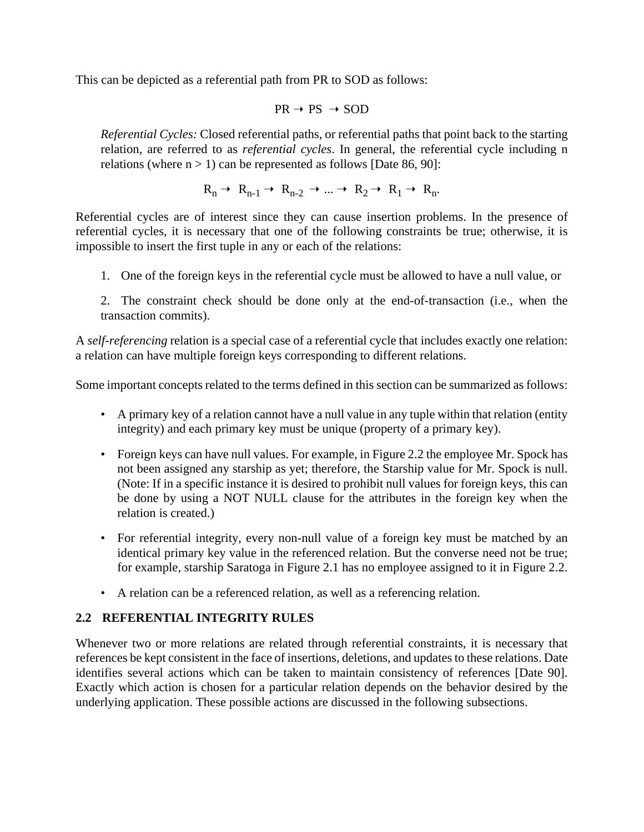This can be depicted as a referential path from PR to SOD as follows:

$$
PR \rightarrow PS \rightarrow SOD
$$

*Referential Cycles:* Closed referential paths, or referential paths that point back to the starting relation, are referred to as *referential cycles*. In general, the referential cycle including n relations (where  $n > 1$ ) can be represented as follows [Date 86, 90]:

$$
R_n \to R_{n-1} \to R_{n-2} \to \dots \to R_2 \to R_1 \to R_n.
$$

Referential cycles are of interest since they can cause insertion problems. In the presence of referential cycles, it is necessary that one of the following constraints be true; otherwise, it is impossible to insert the first tuple in any or each of the relations:

1. One of the foreign keys in the referential cycle must be allowed to have a null value, or

2. The constraint check should be done only at the end-of-transaction (i.e., when the transaction commits).

A *self-referencing* relation is a special case of a referential cycle that includes exactly one relation: a relation can have multiple foreign keys corresponding to different relations.

Some important concepts related to the terms defined in this section can be summarized as follows:

- A primary key of a relation cannot have a null value in any tuple within that relation (entity integrity) and each primary key must be unique (property of a primary key).
- Foreign keys can have null values. For example, in Figure 2.2 the employee Mr. Spock has not been assigned any starship as yet; therefore, the Starship value for Mr. Spock is null. (Note: If in a specific instance it is desired to prohibit null values for foreign keys, this can be done by using a NOT NULL clause for the attributes in the foreign key when the relation is created.)
- For referential integrity, every non-null value of a foreign key must be matched by an identical primary key value in the referenced relation. But the converse need not be true; for example, starship Saratoga in Figure 2.1 has no employee assigned to it in Figure 2.2.
- A relation can be a referenced relation, as well as a referencing relation.

# **2.2 REFERENTIAL INTEGRITY RULES**

Whenever two or more relations are related through referential constraints, it is necessary that references be kept consistent in the face of insertions, deletions, and updates to these relations. Date identifies several actions which can be taken to maintain consistency of references [Date 90]. Exactly which action is chosen for a particular relation depends on the behavior desired by the underlying application. These possible actions are discussed in the following subsections.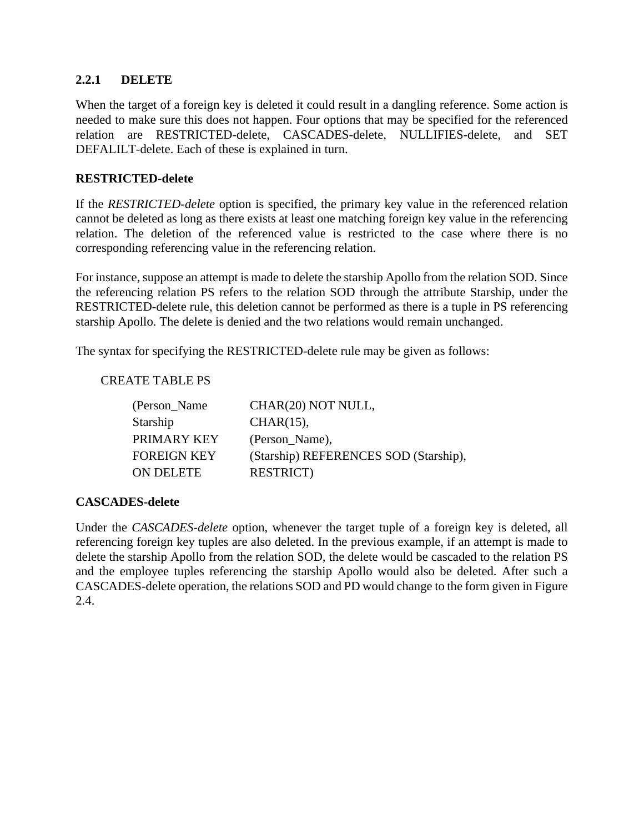### **2.2.1 DELETE**

When the target of a foreign key is deleted it could result in a dangling reference. Some action is needed to make sure this does not happen. Four options that may be specified for the referenced relation are RESTRICTED-delete, CASCADES-delete, NULLIFIES-delete, and SET DEFALILT-delete. Each of these is explained in turn.

### **RESTRICTED-delete**

If the *RESTRICTED-delete* option is specified, the primary key value in the referenced relation cannot be deleted as long as there exists at least one matching foreign key value in the referencing relation. The deletion of the referenced value is restricted to the case where there is no corresponding referencing value in the referencing relation.

For instance, suppose an attempt is made to delete the starship Apollo from the relation SOD. Since the referencing relation PS refers to the relation SOD through the attribute Starship, under the RESTRICTED-delete rule, this deletion cannot be performed as there is a tuple in PS referencing starship Apollo. The delete is denied and the two relations would remain unchanged.

The syntax for specifying the RESTRICTED-delete rule may be given as follows:

#### CREATE TABLE PS

| (Person_Name)      | CHAR(20) NOT NULL,                    |
|--------------------|---------------------------------------|
| Starship           | $CHAR(15)$ ,                          |
| <b>PRIMARY KEY</b> | (Person_Name),                        |
| <b>FOREIGN KEY</b> | (Starship) REFERENCES SOD (Starship), |
| <b>ON DELETE</b>   | <b>RESTRICT</b> )                     |

## **CASCADES-delete**

Under the *CASCADES-delete* option, whenever the target tuple of a foreign key is deleted, all referencing foreign key tuples are also deleted. In the previous example, if an attempt is made to delete the starship Apollo from the relation SOD, the delete would be cascaded to the relation PS and the employee tuples referencing the starship Apollo would also be deleted. After such a CASCADES-delete operation, the relations SOD and PD would change to the form given in Figure 2.4.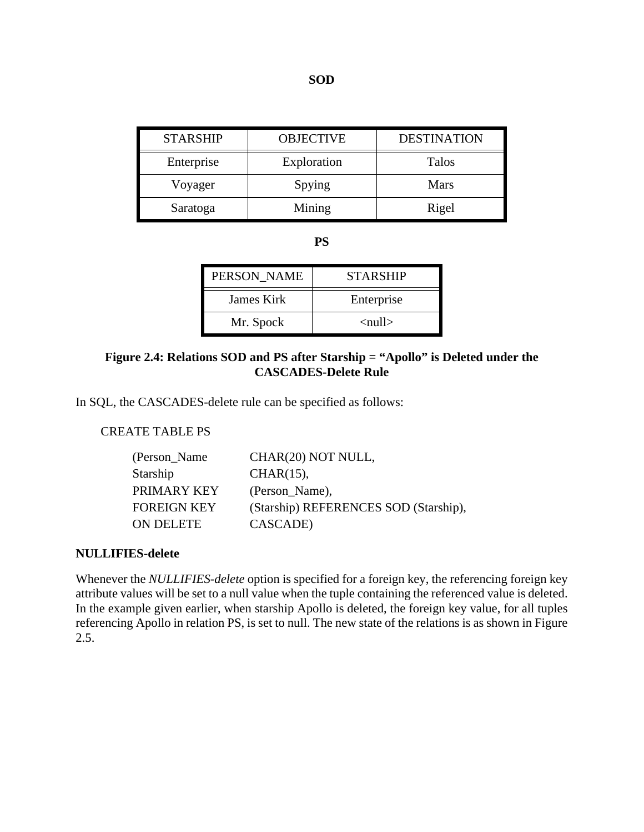| <b>STARSHIP</b> | <b>OBJECTIVE</b> | <b>DESTINATION</b> |
|-----------------|------------------|--------------------|
| Enterprise      | Exploration      | Talos              |
| Voyager         | Spying           | <b>Mars</b>        |
| Saratoga        | Mining           | Rigel              |

**PS**

| PERSON NAME | <b>STARSHIP</b>          |
|-------------|--------------------------|
| James Kirk  | Enterprise               |
| Mr. Spock   | $\langle$ null $\rangle$ |

### **Figure 2.4: Relations SOD and PS after Starship = "Apollo" is Deleted under the CASCADES-Delete Rule**

In SQL, the CASCADES-delete rule can be specified as follows:

### CREATE TABLE PS

| (Person_Name) | CHAR(20) NOT NULL,                    |
|---------------|---------------------------------------|
| Starship      | $CHAR(15)$ ,                          |
| PRIMARY KEY   | (Person_Name),                        |
| FOREIGN KEY   | (Starship) REFERENCES SOD (Starship), |
| ON DELETE     | CASCADE)                              |

#### **NULLIFIES-delete**

Whenever the *NULLIFIES-delete* option is specified for a foreign key, the referencing foreign key attribute values will be set to a null value when the tuple containing the referenced value is deleted. In the example given earlier, when starship Apollo is deleted, the foreign key value, for all tuples referencing Apollo in relation PS, is set to null. The new state of the relations is as shown in Figure 2.5.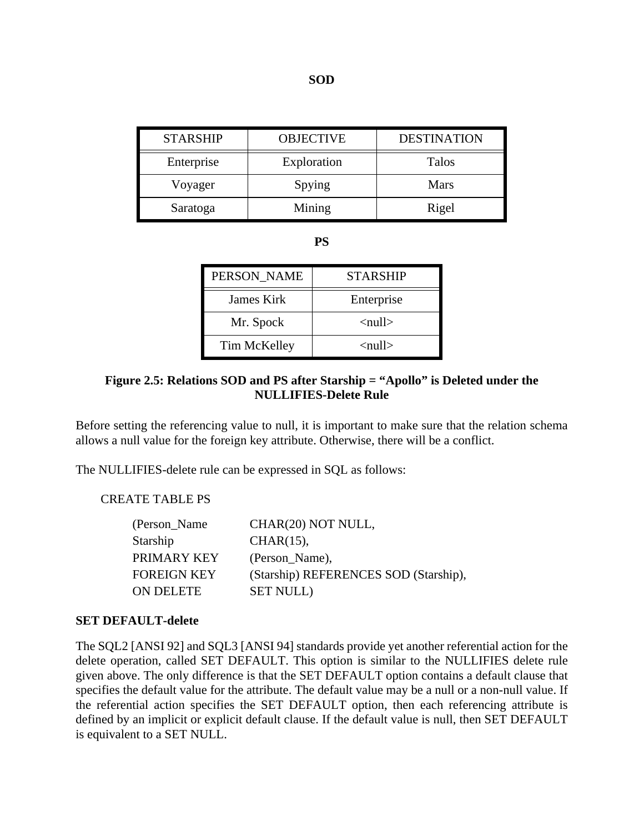| <b>STARSHIP</b> | <b>OBJECTIVE</b>      | <b>DESTINATION</b> |
|-----------------|-----------------------|--------------------|
| Enterprise      | Exploration           | <b>Talos</b>       |
| Voyager         | Spying<br><b>Mars</b> |                    |
| Saratoga        | Mining                | Rigel              |

**PS**

| PERSON NAME  | <b>STARSHIP</b>          |
|--------------|--------------------------|
| James Kirk   | Enterprise               |
| Mr. Spock    | $\langle$ null $\rangle$ |
| Tim McKelley | $\langle$ null $\rangle$ |

## **Figure 2.5: Relations SOD and PS after Starship = "Apollo" is Deleted under the NULLIFIES-Delete Rule**

Before setting the referencing value to null, it is important to make sure that the relation schema allows a null value for the foreign key attribute. Otherwise, there will be a conflict.

The NULLIFIES-delete rule can be expressed in SQL as follows:

### CREATE TABLE PS

| CHAR(20) NOT NULL,                    |
|---------------------------------------|
| $CHAR(15)$ ,                          |
| (Person_Name),                        |
| (Starship) REFERENCES SOD (Starship), |
| <b>SET NULL</b> )                     |
|                                       |

#### **SET DEFAULT-delete**

The SQL2 [ANSI 92] and SQL3 [ANSI 94] standards provide yet another referential action for the delete operation, called SET DEFAULT. This option is similar to the NULLIFIES delete rule given above. The only difference is that the SET DEFAULT option contains a default clause that specifies the default value for the attribute. The default value may be a null or a non-null value. If the referential action specifies the SET DEFAULT option, then each referencing attribute is defined by an implicit or explicit default clause. If the default value is null, then SET DEFAULT is equivalent to a SET NULL.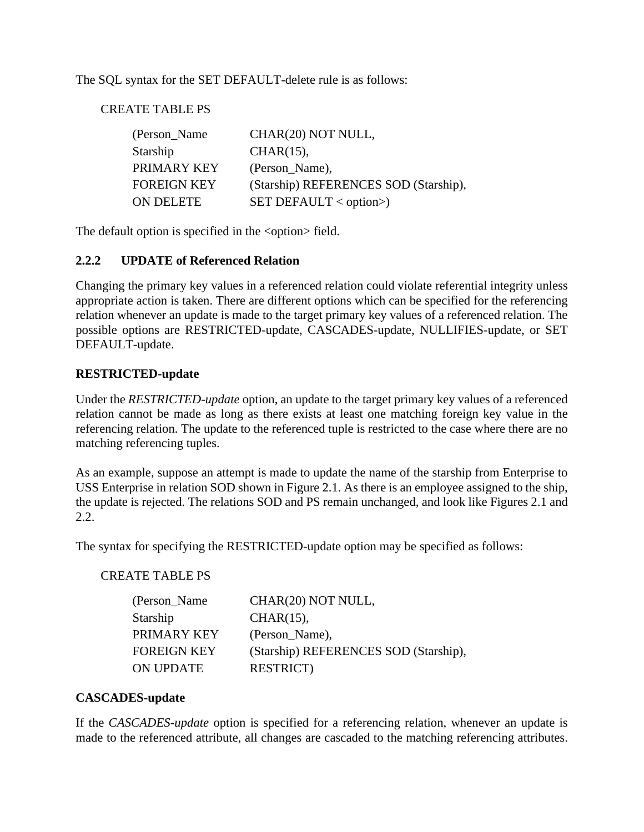The SQL syntax for the SET DEFAULT-delete rule is as follows:

CREATE TABLE PS

| (Person_Name)      | CHAR(20) NOT NULL,                    |
|--------------------|---------------------------------------|
| Starship           | $CHAR(15)$ ,                          |
| PRIMARY KEY        | (Person_Name),                        |
| <b>FOREIGN KEY</b> | (Starship) REFERENCES SOD (Starship), |
| <b>ON DELETE</b>   | $SET$ DEFAULT < option>)              |

The default option is specified in the <option>field.

## **2.2.2 UPDATE of Referenced Relation**

Changing the primary key values in a referenced relation could violate referential integrity unless appropriate action is taken. There are different options which can be specified for the referencing relation whenever an update is made to the target primary key values of a referenced relation. The possible options are RESTRICTED-update, CASCADES-update, NULLIFIES-update, or SET DEFAULT-update.

### **RESTRICTED-update**

Under the *RESTRICTED-update* option, an update to the target primary key values of a referenced relation cannot be made as long as there exists at least one matching foreign key value in the referencing relation. The update to the referenced tuple is restricted to the case where there are no matching referencing tuples.

As an example, suppose an attempt is made to update the name of the starship from Enterprise to USS Enterprise in relation SOD shown in Figure 2.1. As there is an employee assigned to the ship, the update is rejected. The relations SOD and PS remain unchanged, and look like Figures 2.1 and 2.2.

The syntax for specifying the RESTRICTED-update option may be specified as follows:

## CREATE TABLE PS

| CHAR(20) NOT NULL,                    |
|---------------------------------------|
| $CHAR(15)$ ,                          |
| (Person Name),                        |
| (Starship) REFERENCES SOD (Starship), |
| <b>RESTRICT</b> )                     |
|                                       |

#### **CASCADES-update**

If the *CASCADES-update* option is specified for a referencing relation, whenever an update is made to the referenced attribute, all changes are cascaded to the matching referencing attributes.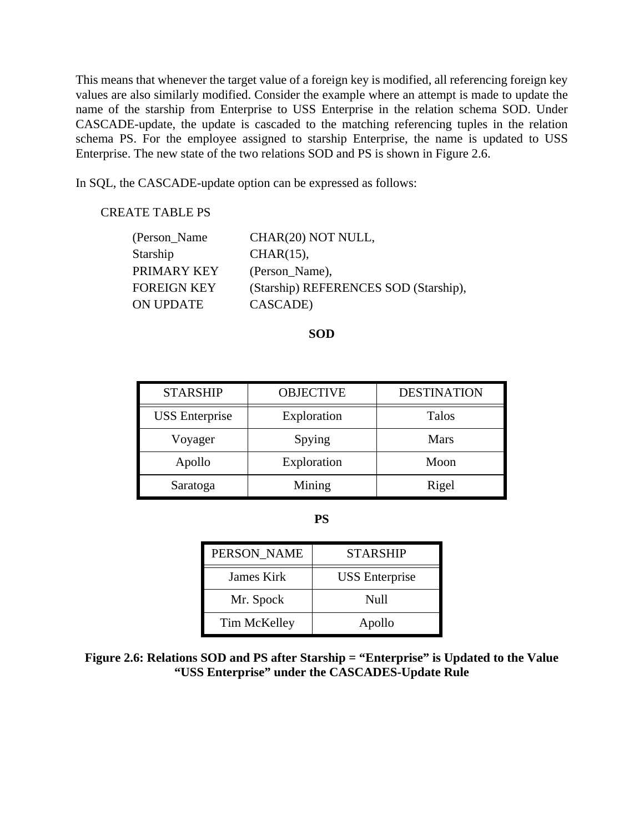This means that whenever the target value of a foreign key is modified, all referencing foreign key values are also similarly modified. Consider the example where an attempt is made to update the name of the starship from Enterprise to USS Enterprise in the relation schema SOD. Under CASCADE-update, the update is cascaded to the matching referencing tuples in the relation schema PS. For the employee assigned to starship Enterprise, the name is updated to USS Enterprise. The new state of the two relations SOD and PS is shown in Figure 2.6.

In SQL, the CASCADE-update option can be expressed as follows:

#### CREATE TABLE PS

| (Person_Name) | CHAR(20) NOT NULL,                    |
|---------------|---------------------------------------|
| Starship      | $CHAR(15)$ ,                          |
| PRIMARY KEY   | (Person_Name),                        |
| FOREIGN KEY   | (Starship) REFERENCES SOD (Starship), |
| ON UPDATE     | CASCADE)                              |

**SOD**

| <b>STARSHIP</b>       | <b>DESTINATION</b><br><b>OBJECTIVE</b> |             |
|-----------------------|----------------------------------------|-------------|
| <b>USS</b> Enterprise | Exploration                            | Talos       |
| Voyager               | Spying                                 | <b>Mars</b> |
| Apollo                | Exploration<br>Moon                    |             |
| Saratoga              | Mining                                 | Rigel       |

**PS**

| PERSON NAME  | <b>STARSHIP</b>       |
|--------------|-----------------------|
| James Kirk   | <b>USS</b> Enterprise |
| Mr. Spock    | Null                  |
| Tim McKelley | Apollo                |

**Figure 2.6: Relations SOD and PS after Starship = "Enterprise" is Updated to the Value "USS Enterprise" under the CASCADES-Update Rule**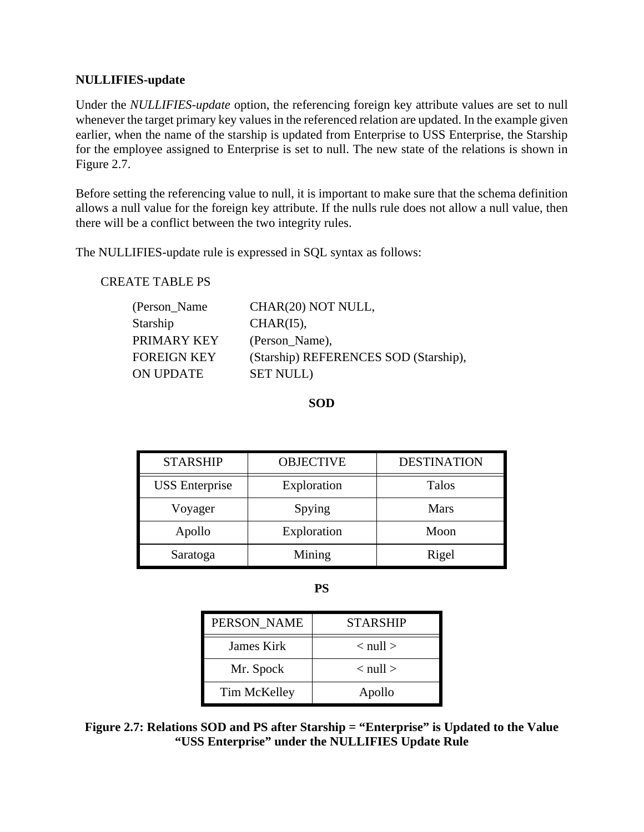#### **NULLIFIES-update**

Under the *NULLIFIES-update* option, the referencing foreign key attribute values are set to null whenever the target primary key values in the referenced relation are updated. In the example given earlier, when the name of the starship is updated from Enterprise to USS Enterprise, the Starship for the employee assigned to Enterprise is set to null. The new state of the relations is shown in Figure 2.7.

Before setting the referencing value to null, it is important to make sure that the schema definition allows a null value for the foreign key attribute. If the nulls rule does not allow a null value, then there will be a conflict between the two integrity rules.

The NULLIFIES-update rule is expressed in SQL syntax as follows:

#### CREATE TABLE PS

| CHAR(20) NOT NULL,                    |
|---------------------------------------|
| $CHAR(I5)$ ,                          |
| (Person_Name),                        |
| (Starship) REFERENCES SOD (Starship), |
| <b>SET NULL</b> )                     |
|                                       |

**SOD**

| <b>STARSHIP</b>       | <b>OBJECTIVE</b> | <b>DESTINATION</b> |
|-----------------------|------------------|--------------------|
| <b>USS</b> Enterprise | Exploration      | <b>Talos</b>       |
| Voyager               | Spying           | <b>Mars</b>        |
| Apollo                | Exploration      | Moon               |
| Saratoga              | Mining           | Rigel              |

**PS**

| PERSON NAME  | <b>STARSHIP</b>          |
|--------------|--------------------------|
| James Kirk   | $<$ null $>$             |
| Mr. Spock    | $\langle$ null $\rangle$ |
| Tim McKelley | Apollo                   |

**Figure 2.7: Relations SOD and PS after Starship = "Enterprise" is Updated to the Value "USS Enterprise" under the NULLIFIES Update Rule**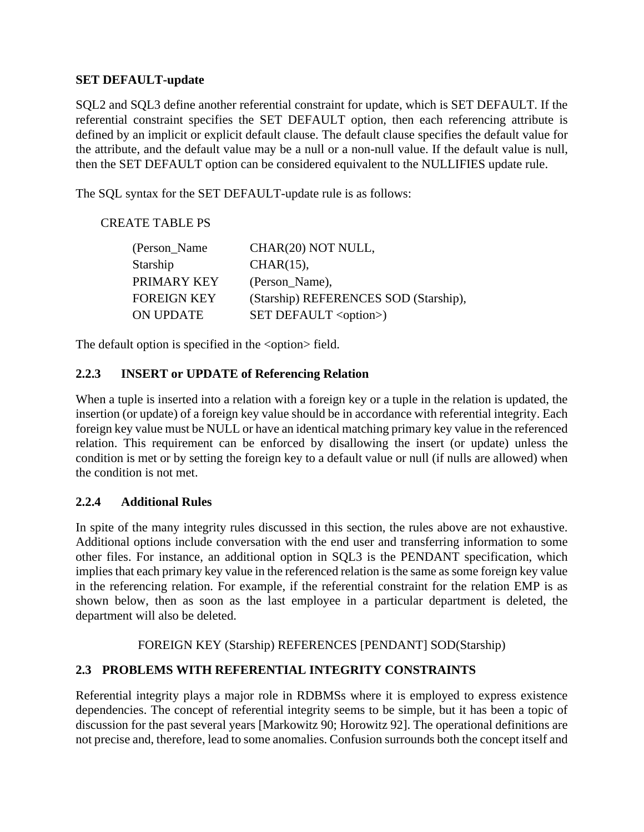### **SET DEFAULT-update**

SQL2 and SQL3 define another referential constraint for update, which is SET DEFAULT. If the referential constraint specifies the SET DEFAULT option, then each referencing attribute is defined by an implicit or explicit default clause. The default clause specifies the default value for the attribute, and the default value may be a null or a non-null value. If the default value is null, then the SET DEFAULT option can be considered equivalent to the NULLIFIES update rule.

The SQL syntax for the SET DEFAULT-update rule is as follows:

CREATE TABLE PS

| (Person_Name)      | CHAR(20) NOT NULL,                    |
|--------------------|---------------------------------------|
| <b>Starship</b>    | $CHAR(15)$ ,                          |
| PRIMARY KEY        | (Person Name),                        |
| <b>FOREIGN KEY</b> | (Starship) REFERENCES SOD (Starship), |
| <b>ON UPDATE</b>   | SET DEFAULT <option>)</option>        |

The default option is specified in the <option>field.

## **2.2.3 INSERT or UPDATE of Referencing Relation**

When a tuple is inserted into a relation with a foreign key or a tuple in the relation is updated, the insertion (or update) of a foreign key value should be in accordance with referential integrity. Each foreign key value must be NULL or have an identical matching primary key value in the referenced relation. This requirement can be enforced by disallowing the insert (or update) unless the condition is met or by setting the foreign key to a default value or null (if nulls are allowed) when the condition is not met.

## **2.2.4 Additional Rules**

In spite of the many integrity rules discussed in this section, the rules above are not exhaustive. Additional options include conversation with the end user and transferring information to some other files. For instance, an additional option in SQL3 is the PENDANT specification, which implies that each primary key value in the referenced relation is the same as some foreign key value in the referencing relation. For example, if the referential constraint for the relation EMP is as shown below, then as soon as the last employee in a particular department is deleted, the department will also be deleted.

FOREIGN KEY (Starship) REFERENCES [PENDANT] SOD(Starship)

# **2.3 PROBLEMS WITH REFERENTIAL INTEGRITY CONSTRAINTS**

Referential integrity plays a major role in RDBMSs where it is employed to express existence dependencies. The concept of referential integrity seems to be simple, but it has been a topic of discussion for the past several years [Markowitz 90; Horowitz 92]. The operational definitions are not precise and, therefore, lead to some anomalies. Confusion surrounds both the concept itself and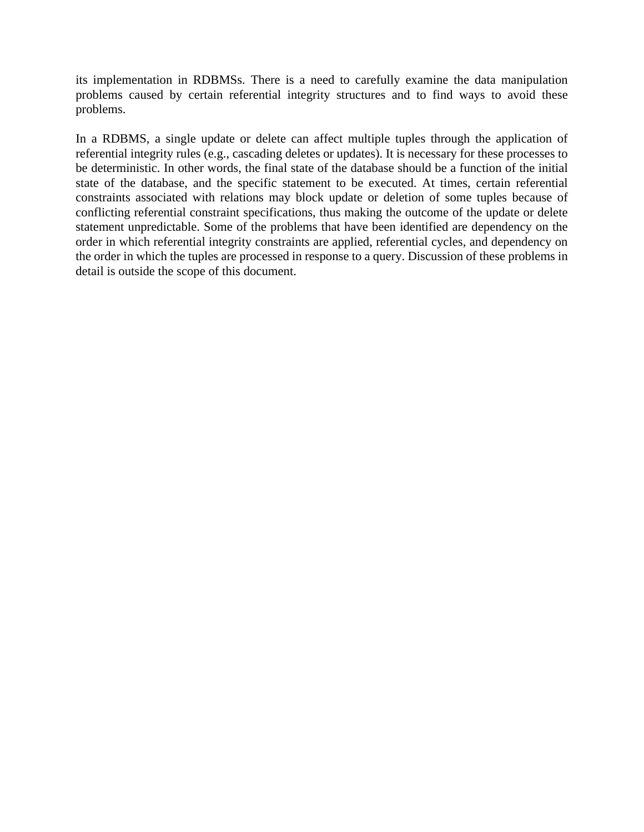its implementation in RDBMSs. There is a need to carefully examine the data manipulation problems caused by certain referential integrity structures and to find ways to avoid these problems.

In a RDBMS, a single update or delete can affect multiple tuples through the application of referential integrity rules (e.g., cascading deletes or updates). It is necessary for these processes to be deterministic. In other words, the final state of the database should be a function of the initial state of the database, and the specific statement to be executed. At times, certain referential constraints associated with relations may block update or deletion of some tuples because of conflicting referential constraint specifications, thus making the outcome of the update or delete statement unpredictable. Some of the problems that have been identified are dependency on the order in which referential integrity constraints are applied, referential cycles, and dependency on the order in which the tuples are processed in response to a query. Discussion of these problems in detail is outside the scope of this document.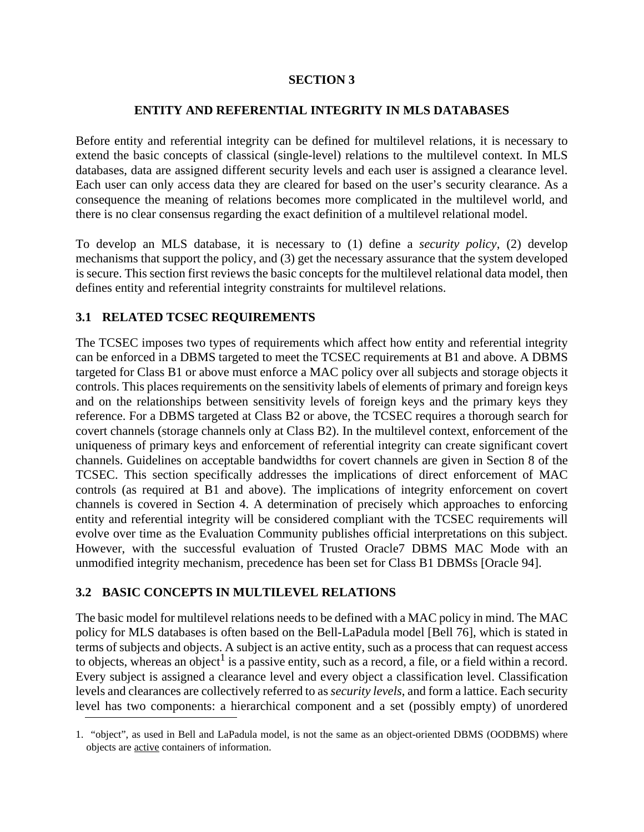### **SECTION 3**

### **ENTITY AND REFERENTIAL INTEGRITY IN MLS DATABASES**

Before entity and referential integrity can be defined for multilevel relations, it is necessary to extend the basic concepts of classical (single-level) relations to the multilevel context. In MLS databases, data are assigned different security levels and each user is assigned a clearance level. Each user can only access data they are cleared for based on the user's security clearance. As a consequence the meaning of relations becomes more complicated in the multilevel world, and there is no clear consensus regarding the exact definition of a multilevel relational model.

To develop an MLS database, it is necessary to (1) define a *security policy*, (2) develop mechanisms that support the policy, and (3) get the necessary assurance that the system developed is secure. This section first reviews the basic concepts for the multilevel relational data model, then defines entity and referential integrity constraints for multilevel relations.

# **3.1 RELATED TCSEC REQUIREMENTS**

The TCSEC imposes two types of requirements which affect how entity and referential integrity can be enforced in a DBMS targeted to meet the TCSEC requirements at B1 and above. A DBMS targeted for Class B1 or above must enforce a MAC policy over all subjects and storage objects it controls. This places requirements on the sensitivity labels of elements of primary and foreign keys and on the relationships between sensitivity levels of foreign keys and the primary keys they reference. For a DBMS targeted at Class B2 or above, the TCSEC requires a thorough search for covert channels (storage channels only at Class B2). In the multilevel context, enforcement of the uniqueness of primary keys and enforcement of referential integrity can create significant covert channels. Guidelines on acceptable bandwidths for covert channels are given in Section 8 of the TCSEC. This section specifically addresses the implications of direct enforcement of MAC controls (as required at B1 and above). The implications of integrity enforcement on covert channels is covered in Section 4. A determination of precisely which approaches to enforcing entity and referential integrity will be considered compliant with the TCSEC requirements will evolve over time as the Evaluation Community publishes official interpretations on this subject. However, with the successful evaluation of Trusted Oracle7 DBMS MAC Mode with an unmodified integrity mechanism, precedence has been set for Class B1 DBMSs [Oracle 94].

## **3.2 BASIC CONCEPTS IN MULTILEVEL RELATIONS**

The basic model for multilevel relations needs to be defined with a MAC policy in mind. The MAC policy for MLS databases is often based on the Bell-LaPadula model [Bell 76], which is stated in terms of subjects and objects. A subject is an active entity, such as a process that can request access to objects, whereas an object<sup>1</sup> is a passive entity, such as a record, a file, or a field within a record. Every subject is assigned a clearance level and every object a classification level. Classification levels and clearances are collectively referred to as *security levels*, and form a lattice. Each security level has two components: a hierarchical component and a set (possibly empty) of unordered

<sup>1. &</sup>quot;object", as used in Bell and LaPadula model, is not the same as an object-oriented DBMS (OODBMS) where objects are active containers of information.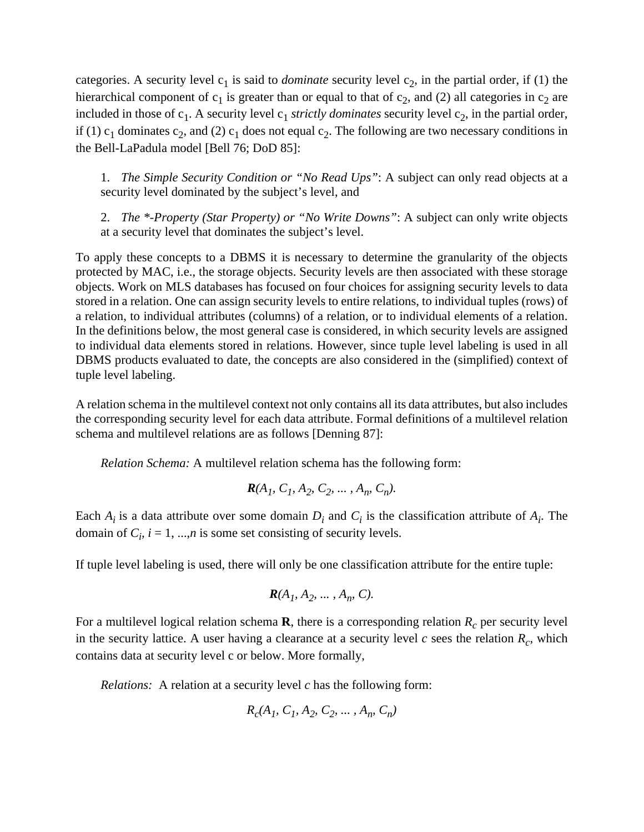categories. A security level  $c_1$  is said to *dominate* security level  $c_2$ , in the partial order, if (1) the hierarchical component of  $c_1$  is greater than or equal to that of  $c_2$ , and (2) all categories in  $c_2$  are included in those of  $c_1$ . A security level  $c_1$  *strictly dominates* security level  $c_2$ , in the partial order, if (1)  $c_1$  dominates  $c_2$ , and (2)  $c_1$  does not equal  $c_2$ . The following are two necessary conditions in the Bell-LaPadula model [Bell 76; DoD 85]:

1. *The Simple Security Condition or "No Read Ups"*: A subject can only read objects at a security level dominated by the subject's level, and

2. *The \*-Property (Star Property) or "No Write Downs"*: A subject can only write objects at a security level that dominates the subject's level.

To apply these concepts to a DBMS it is necessary to determine the granularity of the objects protected by MAC, i.e., the storage objects. Security levels are then associated with these storage objects. Work on MLS databases has focused on four choices for assigning security levels to data stored in a relation. One can assign security levels to entire relations, to individual tuples (rows) of a relation, to individual attributes (columns) of a relation, or to individual elements of a relation. In the definitions below, the most general case is considered, in which security levels are assigned to individual data elements stored in relations. However, since tuple level labeling is used in all DBMS products evaluated to date, the concepts are also considered in the (simplified) context of tuple level labeling.

A relation schema in the multilevel context not only contains all its data attributes, but also includes the corresponding security level for each data attribute. Formal definitions of a multilevel relation schema and multilevel relations are as follows [Denning 87]:

*Relation Schema:* A multilevel relation schema has the following form:

$$
R(A_1, C_1, A_2, C_2, \ldots, A_n, C_n).
$$

Each  $A_i$  is a data attribute over some domain  $D_i$  and  $C_i$  is the classification attribute of  $A_i$ . The domain of  $C_i$ ,  $i = 1, ..., n$  is some set consisting of security levels.

If tuple level labeling is used, there will only be one classification attribute for the entire tuple:

$$
\mathbf{R}(A_1, A_2, \ldots, A_n, C).
$$

For a multilevel logical relation schema **R**, there is a corresponding relation  $R_c$  per security level in the security lattice. A user having a clearance at a security level  $c$  sees the relation  $R_c$ , which contains data at security level c or below. More formally,

*Relations:* A relation at a security level *c* has the following form:

$$
R_c(A_1, C_1, A_2, C_2, \ldots, A_n, C_n)
$$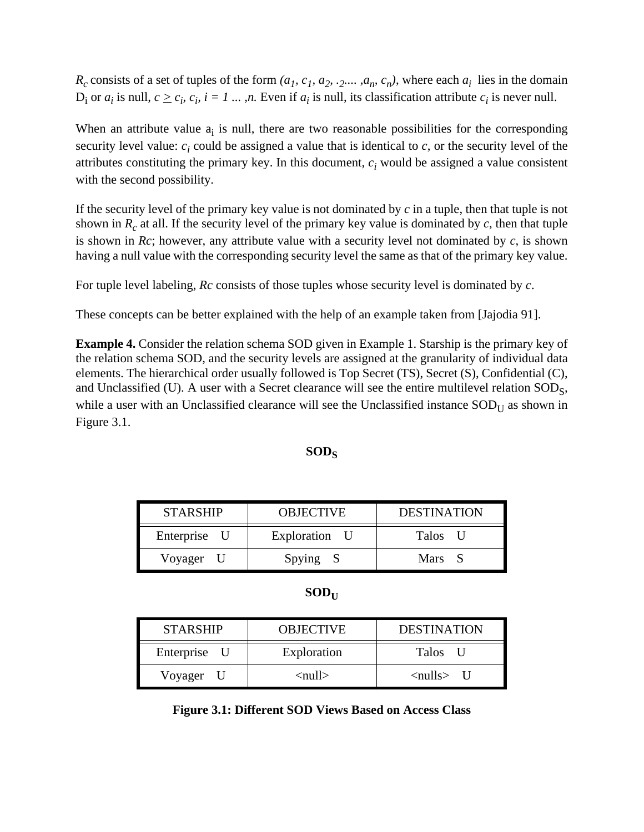$R_c$  consists of a set of tuples of the form  $(a_1, c_1, a_2, \ldots, a_n, c_n)$ , where each  $a_i$  lies in the domain  $D_i$  or  $a_i$  is null,  $c \geq c_i$ ,  $c_i$ ,  $i = 1, ..., n$ . Even if  $a_i$  is null, its classification attribute  $c_i$  is never null.

When an attribute value  $a_i$  is null, there are two reasonable possibilities for the corresponding security level value:  $c_i$  could be assigned a value that is identical to  $c$ , or the security level of the attributes constituting the primary key. In this document,  $c_i$  would be assigned a value consistent with the second possibility.

If the security level of the primary key value is not dominated by *c* in a tuple, then that tuple is not shown in  $R_c$  at all. If the security level of the primary key value is dominated by  $c$ , then that tuple is shown in *Rc*; however, any attribute value with a security level not dominated by *c*, is shown having a null value with the corresponding security level the same as that of the primary key value.

For tuple level labeling, *Rc* consists of those tuples whose security level is dominated by *c*.

These concepts can be better explained with the help of an example taken from [Jajodia 91].

**Example 4.** Consider the relation schema SOD given in Example 1. Starship is the primary key of the relation schema SOD, and the security levels are assigned at the granularity of individual data elements. The hierarchical order usually followed is Top Secret (TS), Secret (S), Confidential (C), and Unclassified (U). A user with a Secret clearance will see the entire multilevel relation  $SOD_S$ , while a user with an Unclassified clearance will see the Unclassified instance  $SOD_U$  as shown in Figure 3.1.

## **SODS**

| <b>STARSHIP</b> | <b>OBJECTIVE</b> | <b>DESTINATION</b> |
|-----------------|------------------|--------------------|
| Enterprise U    | Exploration U    | Talos U            |
| Voyager U       | Spying S         | Mars S             |

 $SOD<sub>U</sub>$ 

| <b>STARSHIP</b> | <b>OBJECTIVE</b> | <b>DESTINATION</b>        |
|-----------------|------------------|---------------------------|
| Enterprise U    | Exploration      | Talos i<br>$\blacksquare$ |
| Voyager U       | <null></null>    | $\langle$ nulls $\rangle$ |

**Figure 3.1: Different SOD Views Based on Access Class**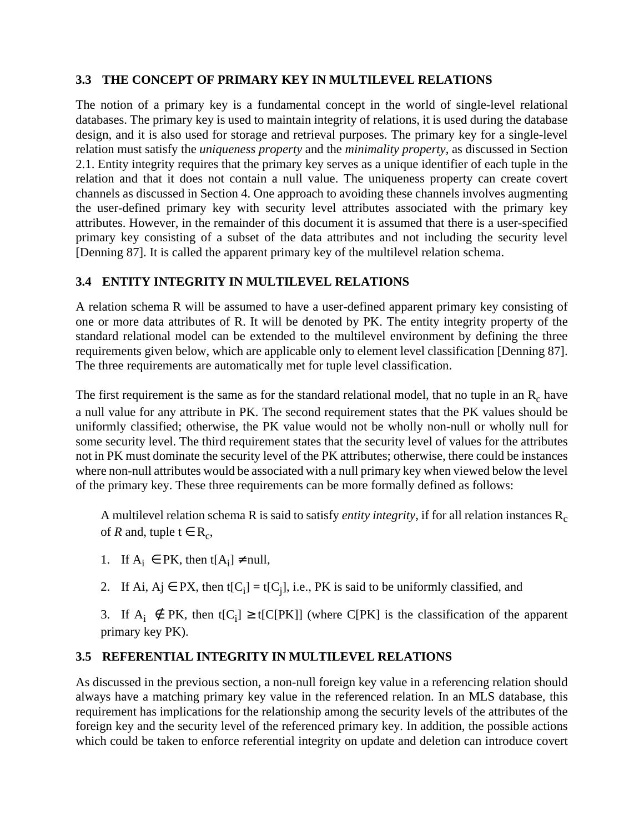## **3.3 THE CONCEPT OF PRIMARY KEY IN MULTILEVEL RELATIONS**

The notion of a primary key is a fundamental concept in the world of single-level relational databases. The primary key is used to maintain integrity of relations, it is used during the database design, and it is also used for storage and retrieval purposes. The primary key for a single-level relation must satisfy the *uniqueness property* and the *minimality property*, as discussed in Section 2.1. Entity integrity requires that the primary key serves as a unique identifier of each tuple in the relation and that it does not contain a null value. The uniqueness property can create covert channels as discussed in Section 4. One approach to avoiding these channels involves augmenting the user-defined primary key with security level attributes associated with the primary key attributes. However, in the remainder of this document it is assumed that there is a user-specified primary key consisting of a subset of the data attributes and not including the security level [Denning 87]. It is called the apparent primary key of the multilevel relation schema.

## **3.4 ENTITY INTEGRITY IN MULTILEVEL RELATIONS**

A relation schema R will be assumed to have a user-defined apparent primary key consisting of one or more data attributes of R. It will be denoted by PK. The entity integrity property of the standard relational model can be extended to the multilevel environment by defining the three requirements given below, which are applicable only to element level classification [Denning 87]. The three requirements are automatically met for tuple level classification.

The first requirement is the same as for the standard relational model, that no tuple in an  $R_c$  have a null value for any attribute in PK. The second requirement states that the PK values should be uniformly classified; otherwise, the PK value would not be wholly non-null or wholly null for some security level. The third requirement states that the security level of values for the attributes not in PK must dominate the security level of the PK attributes; otherwise, there could be instances where non-null attributes would be associated with a null primary key when viewed below the level of the primary key. These three requirements can be more formally defined as follows:

A multilevel relation schema R is said to satisfy *entity integrity*, if for all relation instances R<sub>c</sub> of *R* and, tuple  $t \in R_c$ ,

- 1. If  $A_i \in PK$ , then  $t[A_i] \neq null$ ,
- 2. If Ai, Aj  $\in$  PX, then t[C<sub>i</sub>] = t[C<sub>j</sub>], i.e., PK is said to be uniformly classified, and
- 3. If  $A_i \notin PK$ , then t[C<sub>i</sub>] ≥ t[C[PK]] (where C[PK] is the classification of the apparent primary key PK).

## **3.5 REFERENTIAL INTEGRITY IN MULTILEVEL RELATIONS**

As discussed in the previous section, a non-null foreign key value in a referencing relation should always have a matching primary key value in the referenced relation. In an MLS database, this requirement has implications for the relationship among the security levels of the attributes of the foreign key and the security level of the referenced primary key. In addition, the possible actions which could be taken to enforce referential integrity on update and deletion can introduce covert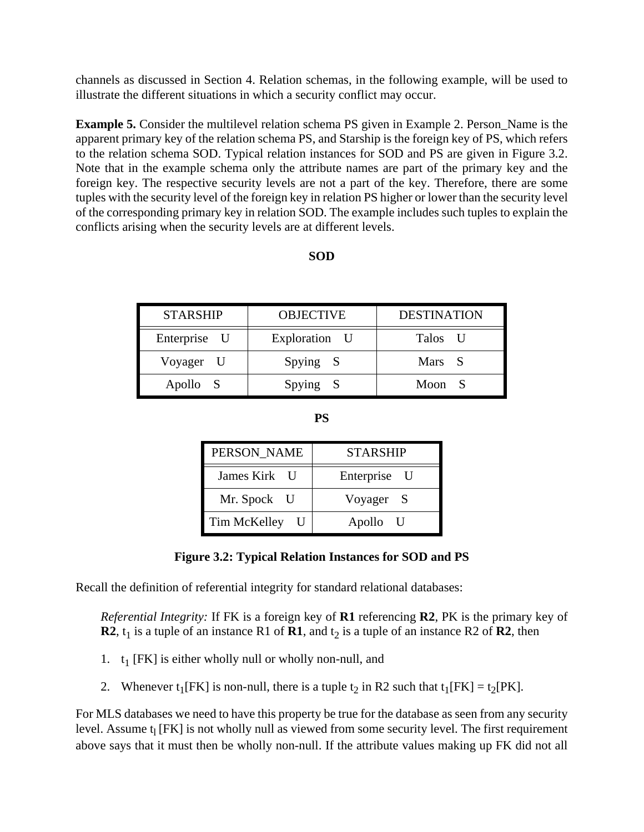channels as discussed in Section 4. Relation schemas, in the following example, will be used to illustrate the different situations in which a security conflict may occur.

**Example 5.** Consider the multilevel relation schema PS given in Example 2. Person\_Name is the apparent primary key of the relation schema PS, and Starship is the foreign key of PS, which refers to the relation schema SOD. Typical relation instances for SOD and PS are given in Figure 3.2. Note that in the example schema only the attribute names are part of the primary key and the foreign key. The respective security levels are not a part of the key. Therefore, there are some tuples with the security level of the foreign key in relation PS higher or lower than the security level of the corresponding primary key in relation SOD. The example includes such tuples to explain the conflicts arising when the security levels are at different levels.

#### **SOD**

| <b>STARSHIP</b> | <b>OBJECTIVE</b> | <b>DESTINATION</b> |
|-----------------|------------------|--------------------|
| Enterprise U    | Exploration U    | Talos U            |
| Voyager U       | Spying S         | Mars S             |
| Apollo S        | Spying S         | Moon               |

**PS**

| PERSON NAME  | <b>STARSHIP</b> |  |
|--------------|-----------------|--|
| James Kirk U | Enterprise U    |  |
| Mr. Spock U  | Voyager S       |  |
| Tim McKelley | Apollo U        |  |

#### **Figure 3.2: Typical Relation Instances for SOD and PS**

Recall the definition of referential integrity for standard relational databases:

*Referential Integrity:* If FK is a foreign key of **R1** referencing **R2**, PK is the primary key of **R2**,  $t_1$  is a tuple of an instance R1 of **R1**, and  $t_2$  is a tuple of an instance R2 of **R2**, then

- 1.  $t_1$  [FK] is either wholly null or wholly non-null, and
- 2. Whenever  $t_1$ [FK] is non-null, there is a tuple  $t_2$  in R2 such that  $t_1$ [FK] =  $t_2$ [PK].

For MLS databases we need to have this property be true for the database as seen from any security level. Assume  $t_1$  [FK] is not wholly null as viewed from some security level. The first requirement above says that it must then be wholly non-null. If the attribute values making up FK did not all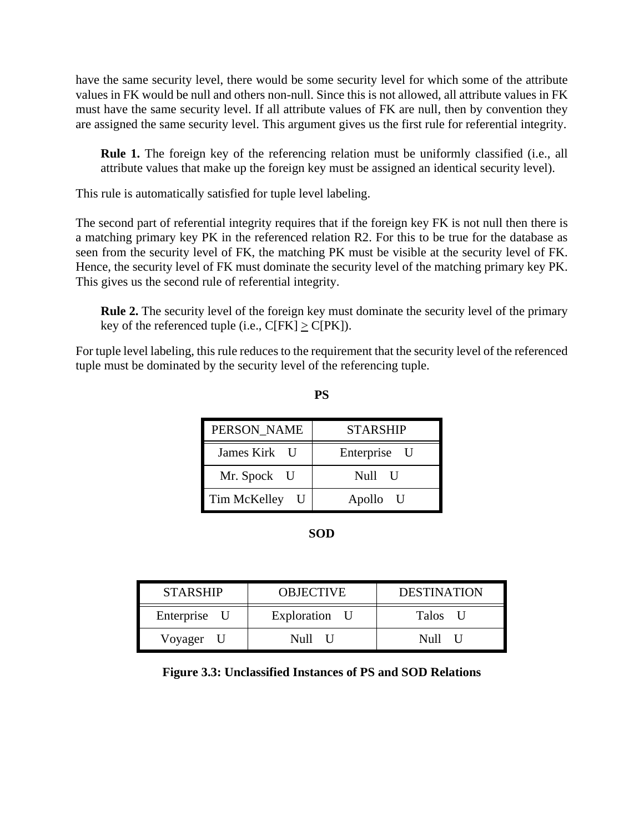have the same security level, there would be some security level for which some of the attribute values in FK would be null and others non-null. Since this is not allowed, all attribute values in FK must have the same security level. If all attribute values of FK are null, then by convention they are assigned the same security level. This argument gives us the first rule for referential integrity.

**Rule 1.** The foreign key of the referencing relation must be uniformly classified (i.e., all attribute values that make up the foreign key must be assigned an identical security level).

This rule is automatically satisfied for tuple level labeling.

The second part of referential integrity requires that if the foreign key FK is not null then there is a matching primary key PK in the referenced relation R2. For this to be true for the database as seen from the security level of FK, the matching PK must be visible at the security level of FK. Hence, the security level of FK must dominate the security level of the matching primary key PK. This gives us the second rule of referential integrity.

**Rule 2.** The security level of the foreign key must dominate the security level of the primary key of the referenced tuple (i.e.,  $C[FK] \geq C[PK]$ ).

For tuple level labeling, this rule reduces to the requirement that the security level of the referenced tuple must be dominated by the security level of the referencing tuple.

| PERSON NAME  | <b>STARSHIP</b> |  |
|--------------|-----------------|--|
| James Kirk U | Enterprise U    |  |
| Mr. Spock U  | Null U          |  |
| Tim McKelley | Apollo U        |  |

**PS**

#### **SOD**

| <b>STARSHIP</b> | <b>OBJECTIVE</b> | <b>DESTINATION</b> |
|-----------------|------------------|--------------------|
| Enterprise U    | Exploration U    | Talos U            |
| Voyager U       | Null U           | Null               |

#### **Figure 3.3: Unclassified Instances of PS and SOD Relations**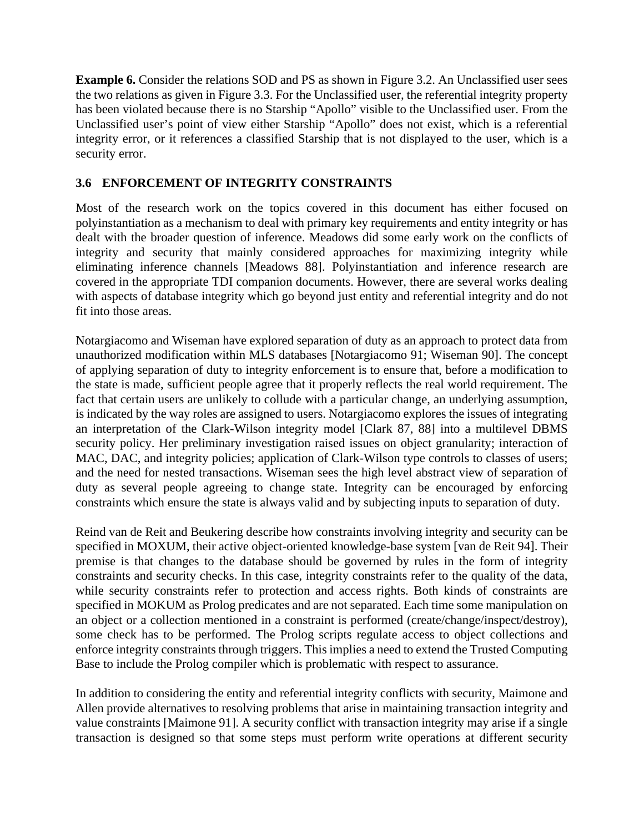**Example 6.** Consider the relations SOD and PS as shown in Figure 3.2. An Unclassified user sees the two relations as given in Figure 3.3. For the Unclassified user, the referential integrity property has been violated because there is no Starship "Apollo" visible to the Unclassified user. From the Unclassified user's point of view either Starship "Apollo" does not exist, which is a referential integrity error, or it references a classified Starship that is not displayed to the user, which is a security error.

# **3.6 ENFORCEMENT OF INTEGRITY CONSTRAINTS**

Most of the research work on the topics covered in this document has either focused on polyinstantiation as a mechanism to deal with primary key requirements and entity integrity or has dealt with the broader question of inference. Meadows did some early work on the conflicts of integrity and security that mainly considered approaches for maximizing integrity while eliminating inference channels [Meadows 88]. Polyinstantiation and inference research are covered in the appropriate TDI companion documents. However, there are several works dealing with aspects of database integrity which go beyond just entity and referential integrity and do not fit into those areas.

Notargiacomo and Wiseman have explored separation of duty as an approach to protect data from unauthorized modification within MLS databases [Notargiacomo 91; Wiseman 90]. The concept of applying separation of duty to integrity enforcement is to ensure that, before a modification to the state is made, sufficient people agree that it properly reflects the real world requirement. The fact that certain users are unlikely to collude with a particular change, an underlying assumption, is indicated by the way roles are assigned to users. Notargiacomo explores the issues of integrating an interpretation of the Clark-Wilson integrity model [Clark 87, 88] into a multilevel DBMS security policy. Her preliminary investigation raised issues on object granularity; interaction of MAC, DAC, and integrity policies; application of Clark-Wilson type controls to classes of users; and the need for nested transactions. Wiseman sees the high level abstract view of separation of duty as several people agreeing to change state. Integrity can be encouraged by enforcing constraints which ensure the state is always valid and by subjecting inputs to separation of duty.

Reind van de Reit and Beukering describe how constraints involving integrity and security can be specified in MOXUM, their active object-oriented knowledge-base system [van de Reit 94]. Their premise is that changes to the database should be governed by rules in the form of integrity constraints and security checks. In this case, integrity constraints refer to the quality of the data, while security constraints refer to protection and access rights. Both kinds of constraints are specified in MOKUM as Prolog predicates and are not separated. Each time some manipulation on an object or a collection mentioned in a constraint is performed (create/change/inspect/destroy), some check has to be performed. The Prolog scripts regulate access to object collections and enforce integrity constraints through triggers. This implies a need to extend the Trusted Computing Base to include the Prolog compiler which is problematic with respect to assurance.

In addition to considering the entity and referential integrity conflicts with security, Maimone and Allen provide alternatives to resolving problems that arise in maintaining transaction integrity and value constraints [Maimone 91]. A security conflict with transaction integrity may arise if a single transaction is designed so that some steps must perform write operations at different security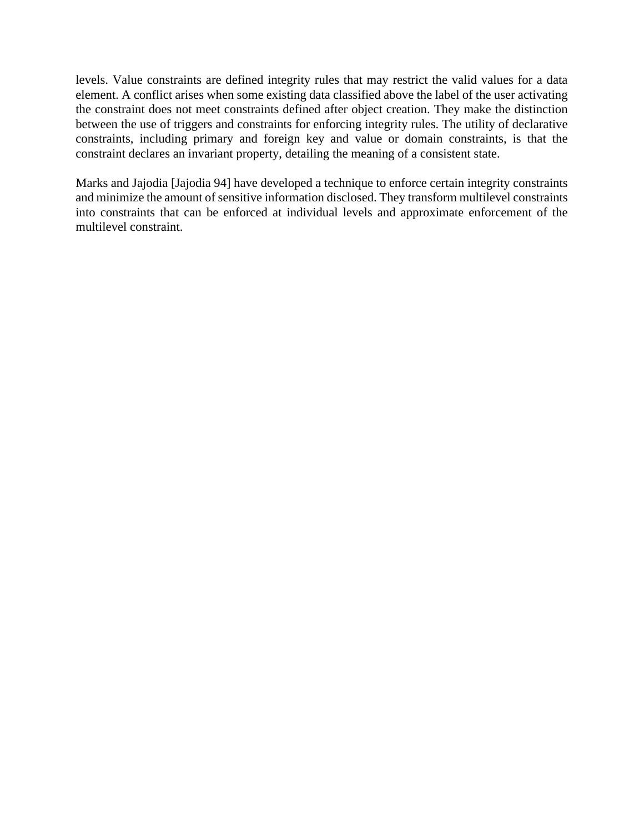levels. Value constraints are defined integrity rules that may restrict the valid values for a data element. A conflict arises when some existing data classified above the label of the user activating the constraint does not meet constraints defined after object creation. They make the distinction between the use of triggers and constraints for enforcing integrity rules. The utility of declarative constraints, including primary and foreign key and value or domain constraints, is that the constraint declares an invariant property, detailing the meaning of a consistent state.

Marks and Jajodia [Jajodia 94] have developed a technique to enforce certain integrity constraints and minimize the amount of sensitive information disclosed. They transform multilevel constraints into constraints that can be enforced at individual levels and approximate enforcement of the multilevel constraint.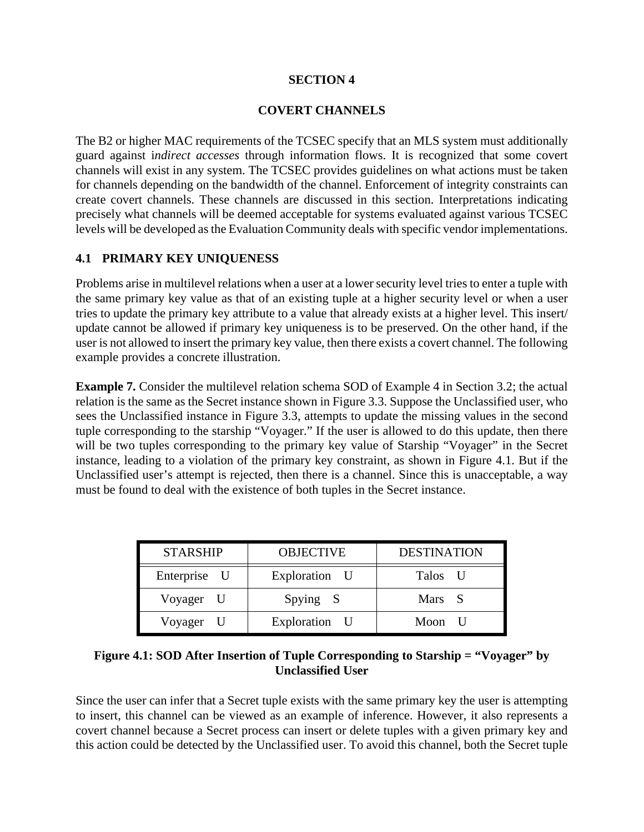#### **SECTION 4**

### **COVERT CHANNELS**

The B2 or higher MAC requirements of the TCSEC specify that an MLS system must additionally guard against i*ndirect accesses* through information flows. It is recognized that some covert channels will exist in any system. The TCSEC provides guidelines on what actions must be taken for channels depending on the bandwidth of the channel. Enforcement of integrity constraints can create covert channels. These channels are discussed in this section. Interpretations indicating precisely what channels will be deemed acceptable for systems evaluated against various TCSEC levels will be developed as the Evaluation Community deals with specific vendor implementations.

## **4.1 PRIMARY KEY UNIQUENESS**

Problems arise in multilevel relations when a user at a lower security level tries to enter a tuple with the same primary key value as that of an existing tuple at a higher security level or when a user tries to update the primary key attribute to a value that already exists at a higher level. This insert/ update cannot be allowed if primary key uniqueness is to be preserved. On the other hand, if the user is not allowed to insert the primary key value, then there exists a covert channel. The following example provides a concrete illustration.

**Example 7.** Consider the multilevel relation schema SOD of Example 4 in Section 3.2; the actual relation is the same as the Secret instance shown in Figure 3.3. Suppose the Unclassified user, who sees the Unclassified instance in Figure 3.3, attempts to update the missing values in the second tuple corresponding to the starship "Voyager." If the user is allowed to do this update, then there will be two tuples corresponding to the primary key value of Starship "Voyager" in the Secret instance, leading to a violation of the primary key constraint, as shown in Figure 4.1. But if the Unclassified user's attempt is rejected, then there is a channel. Since this is unacceptable, a way must be found to deal with the existence of both tuples in the Secret instance.

| <b>STARSHIP</b> | <b>OBJECTIVE</b> | <b>DESTINATION</b> |
|-----------------|------------------|--------------------|
| Enterprise U    | Exploration U    | Talos U            |
| Voyager U       | Spying S         | Mars S             |
| Voyager U       | Exploration U    | Moon U             |

### **Figure 4.1: SOD After Insertion of Tuple Corresponding to Starship = "Voyager" by Unclassified User**

Since the user can infer that a Secret tuple exists with the same primary key the user is attempting to insert, this channel can be viewed as an example of inference. However, it also represents a covert channel because a Secret process can insert or delete tuples with a given primary key and this action could be detected by the Unclassified user. To avoid this channel, both the Secret tuple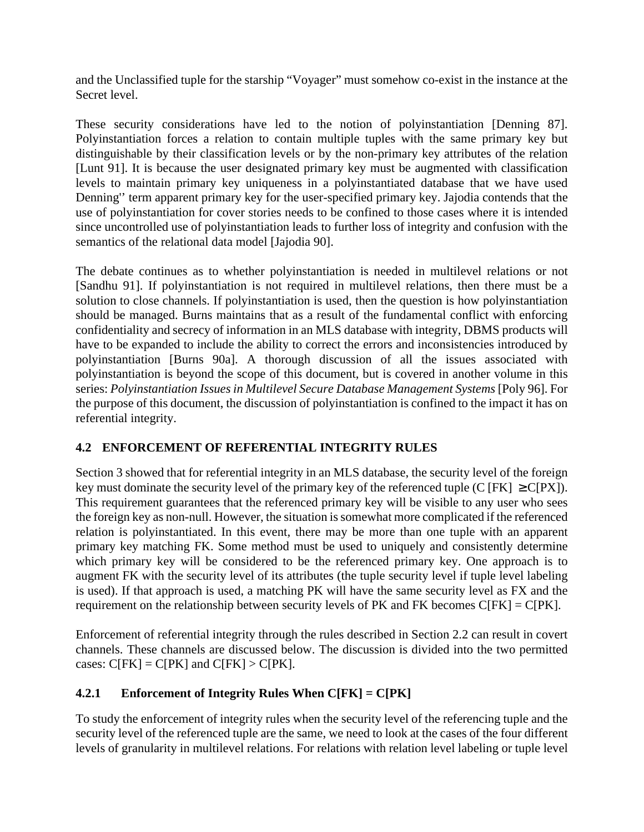and the Unclassified tuple for the starship "Voyager" must somehow co-exist in the instance at the Secret level.

These security considerations have led to the notion of polyinstantiation [Denning 87]. Polyinstantiation forces a relation to contain multiple tuples with the same primary key but distinguishable by their classification levels or by the non-primary key attributes of the relation [Lunt 91]. It is because the user designated primary key must be augmented with classification levels to maintain primary key uniqueness in a polyinstantiated database that we have used Denning'' term apparent primary key for the user-specified primary key. Jajodia contends that the use of polyinstantiation for cover stories needs to be confined to those cases where it is intended since uncontrolled use of polyinstantiation leads to further loss of integrity and confusion with the semantics of the relational data model [Jajodia 90].

The debate continues as to whether polyinstantiation is needed in multilevel relations or not [Sandhu 91]. If polyinstantiation is not required in multilevel relations, then there must be a solution to close channels. If polyinstantiation is used, then the question is how polyinstantiation should be managed. Burns maintains that as a result of the fundamental conflict with enforcing confidentiality and secrecy of information in an MLS database with integrity, DBMS products will have to be expanded to include the ability to correct the errors and inconsistencies introduced by polyinstantiation [Burns 90a]. A thorough discussion of all the issues associated with polyinstantiation is beyond the scope of this document, but is covered in another volume in this series: *Polyinstantiation Issues in Multilevel Secure Database Management Systems* [Poly 96]. For the purpose of this document, the discussion of polyinstantiation is confined to the impact it has on referential integrity.

## **4.2 ENFORCEMENT OF REFERENTIAL INTEGRITY RULES**

Section 3 showed that for referential integrity in an MLS database, the security level of the foreign key must dominate the security level of the primary key of the referenced tuple (C [FK]  $\geq C[PX]$ ). This requirement guarantees that the referenced primary key will be visible to any user who sees the foreign key as non-null. However, the situation is somewhat more complicated if the referenced relation is polyinstantiated. In this event, there may be more than one tuple with an apparent primary key matching FK. Some method must be used to uniquely and consistently determine which primary key will be considered to be the referenced primary key. One approach is to augment FK with the security level of its attributes (the tuple security level if tuple level labeling is used). If that approach is used, a matching PK will have the same security level as FX and the requirement on the relationship between security levels of PK and FK becomes  $C[FK] = C[PK]$ .

Enforcement of referential integrity through the rules described in Section 2.2 can result in covert channels. These channels are discussed below. The discussion is divided into the two permitted cases:  $C[FK] = C[PK]$  and  $C[FK] > C[PK]$ .

# **4.2.1 Enforcement of Integrity Rules When C[FK] = C[PK]**

To study the enforcement of integrity rules when the security level of the referencing tuple and the security level of the referenced tuple are the same, we need to look at the cases of the four different levels of granularity in multilevel relations. For relations with relation level labeling or tuple level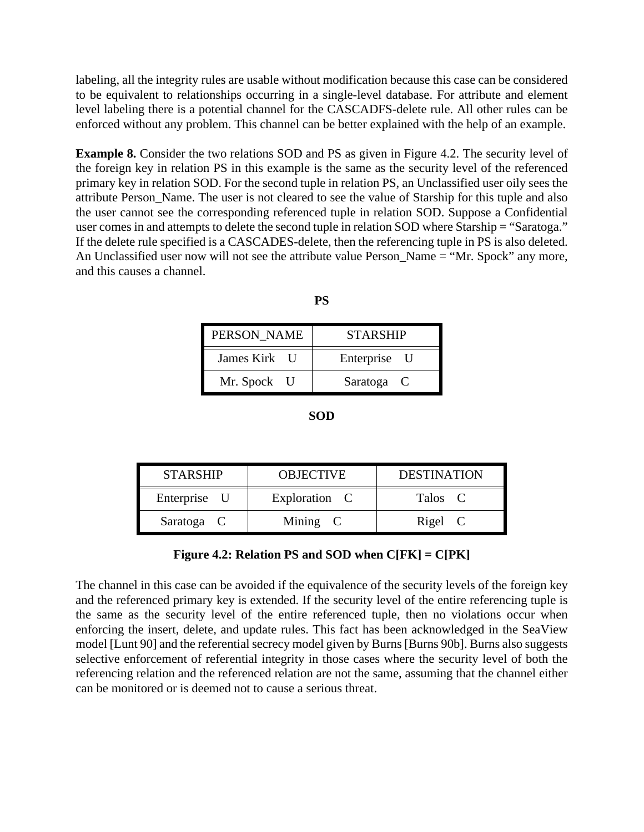labeling, all the integrity rules are usable without modification because this case can be considered to be equivalent to relationships occurring in a single-level database. For attribute and element level labeling there is a potential channel for the CASCADFS-delete rule. All other rules can be enforced without any problem. This channel can be better explained with the help of an example.

**Example 8.** Consider the two relations SOD and PS as given in Figure 4.2. The security level of the foreign key in relation PS in this example is the same as the security level of the referenced primary key in relation SOD. For the second tuple in relation PS, an Unclassified user oily sees the attribute Person\_Name. The user is not cleared to see the value of Starship for this tuple and also the user cannot see the corresponding referenced tuple in relation SOD. Suppose a Confidential user comes in and attempts to delete the second tuple in relation SOD where Starship = "Saratoga." If the delete rule specified is a CASCADES-delete, then the referencing tuple in PS is also deleted. An Unclassified user now will not see the attribute value Person\_Name = "Mr. Spock" any more, and this causes a channel.

| ۰.<br>. .<br>I |  |
|----------------|--|
| ۹<br>v         |  |

| PERSON_NAME  | <b>STARSHIP</b> |
|--------------|-----------------|
| James Kirk U | Enterprise U    |
| Mr. Spock U  | Saratoga C      |

**SOD**

| <b>STARSHIP</b> | <b>OBJECTIVE</b> | <b>DESTINATION</b> |
|-----------------|------------------|--------------------|
| Enterprise U    | Exploration C    | Talos C            |
| Saratoga C      | Mining C         | Rigel C            |

## **Figure 4.2: Relation PS and SOD when C[FK] = C[PK]**

The channel in this case can be avoided if the equivalence of the security levels of the foreign key and the referenced primary key is extended. If the security level of the entire referencing tuple is the same as the security level of the entire referenced tuple, then no violations occur when enforcing the insert, delete, and update rules. This fact has been acknowledged in the SeaView model [Lunt 90] and the referential secrecy model given by Burns [Burns 90b]. Burns also suggests selective enforcement of referential integrity in those cases where the security level of both the referencing relation and the referenced relation are not the same, assuming that the channel either can be monitored or is deemed not to cause a serious threat.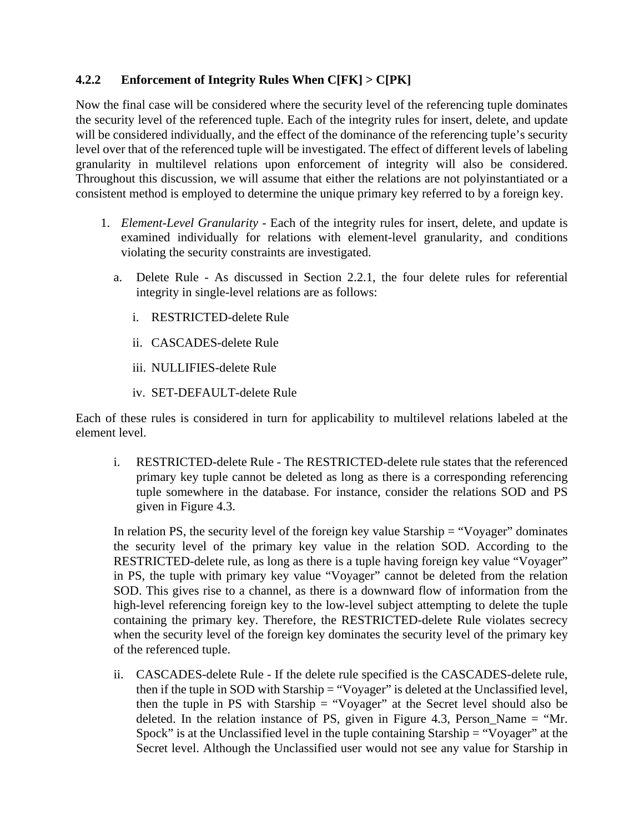# **4.2.2 Enforcement of Integrity Rules When C[FK] > C[PK]**

Now the final case will be considered where the security level of the referencing tuple dominates the security level of the referenced tuple. Each of the integrity rules for insert, delete, and update will be considered individually, and the effect of the dominance of the referencing tuple's security level over that of the referenced tuple will be investigated. The effect of different levels of labeling granularity in multilevel relations upon enforcement of integrity will also be considered. Throughout this discussion, we will assume that either the relations are not polyinstantiated or a consistent method is employed to determine the unique primary key referred to by a foreign key.

- 1. *Element-Level Granularity* Each of the integrity rules for insert, delete, and update is examined individually for relations with element-level granularity, and conditions violating the security constraints are investigated.
	- a. Delete Rule As discussed in Section 2.2.1, the four delete rules for referential integrity in single-level relations are as follows:
		- i. RESTRICTED-delete Rule
		- ii. CASCADES-delete Rule
		- iii. NULLIFIES-delete Rule
		- iv. SET-DEFAULT-delete Rule

Each of these rules is considered in turn for applicability to multilevel relations labeled at the element level.

i. RESTRICTED-delete Rule - The RESTRICTED-delete rule states that the referenced primary key tuple cannot be deleted as long as there is a corresponding referencing tuple somewhere in the database. For instance, consider the relations SOD and PS given in Figure 4.3.

In relation PS, the security level of the foreign key value Starship = "Voyager" dominates the security level of the primary key value in the relation SOD. According to the RESTRICTED-delete rule, as long as there is a tuple having foreign key value "Voyager" in PS, the tuple with primary key value "Voyager" cannot be deleted from the relation SOD. This gives rise to a channel, as there is a downward flow of information from the high-level referencing foreign key to the low-level subject attempting to delete the tuple containing the primary key. Therefore, the RESTRICTED-delete Rule violates secrecy when the security level of the foreign key dominates the security level of the primary key of the referenced tuple.

ii. CASCADES-delete Rule - If the delete rule specified is the CASCADES-delete rule, then if the tuple in SOD with Starship = "Voyager" is deleted at the Unclassified level, then the tuple in PS with Starship = "Voyager" at the Secret level should also be deleted. In the relation instance of PS, given in Figure 4.3, Person\_Name = "Mr. Spock" is at the Unclassified level in the tuple containing Starship = "Voyager" at the Secret level. Although the Unclassified user would not see any value for Starship in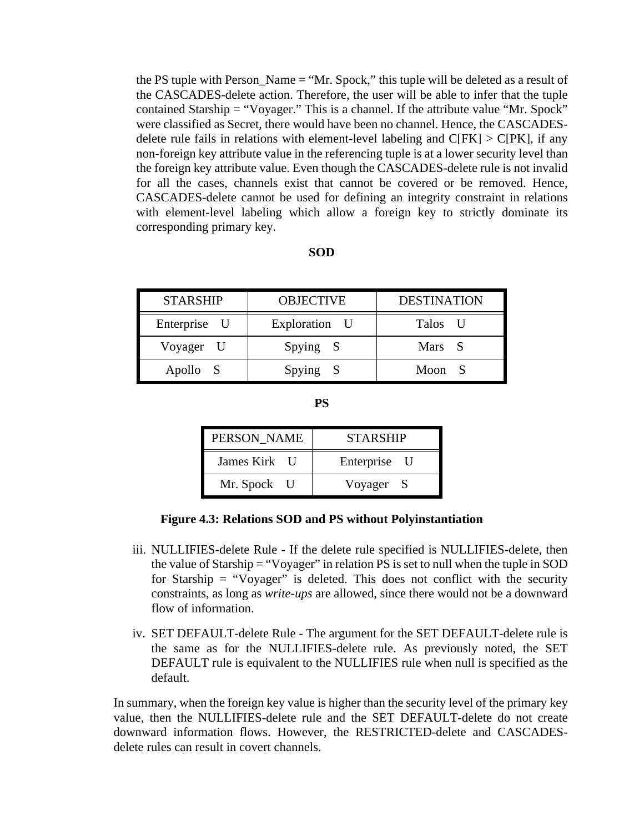the PS tuple with Person\_Name = "Mr. Spock," this tuple will be deleted as a result of the CASCADES-delete action. Therefore, the user will be able to infer that the tuple contained Starship = "Voyager." This is a channel. If the attribute value "Mr. Spock" were classified as Secret, there would have been no channel. Hence, the CASCADESdelete rule fails in relations with element-level labeling and  $C[FK] > C[PK]$ , if any non-foreign key attribute value in the referencing tuple is at a lower security level than the foreign key attribute value. Even though the CASCADES-delete rule is not invalid for all the cases, channels exist that cannot be covered or be removed. Hence, CASCADES-delete cannot be used for defining an integrity constraint in relations with element-level labeling which allow a foreign key to strictly dominate its corresponding primary key.

#### **SOD**

| <b>STARSHIP</b> | <b>OBJECTIVE</b> | <b>DESTINATION</b> |
|-----------------|------------------|--------------------|
| Enterprise U    | Exploration U    | Talos U            |
| Voyager U       | Spying S         | Mars S             |
| Apollo S        | Spying S         | Moon S             |

| PERSON NAME  | <b>STARSHIP</b> |  |  |
|--------------|-----------------|--|--|
| James Kirk U | Enterprise U    |  |  |
| Mr. Spock U  | Voyager S       |  |  |

#### **Figure 4.3: Relations SOD and PS without Polyinstantiation**

- iii. NULLIFIES-delete Rule If the delete rule specified is NULLIFIES-delete, then the value of Starship = "Voyager" in relation PS is set to null when the tuple in SOD for Starship  $=$  "Voyager" is deleted. This does not conflict with the security constraints, as long as *write-ups* are allowed, since there would not be a downward flow of information.
- iv. SET DEFAULT-delete Rule The argument for the SET DEFAULT-delete rule is the same as for the NULLIFIES-delete rule. As previously noted, the SET DEFAULT rule is equivalent to the NULLIFIES rule when null is specified as the default.

In summary, when the foreign key value is higher than the security level of the primary key value, then the NULLIFIES-delete rule and the SET DEFAULT-delete do not create downward information flows. However, the RESTRICTED-delete and CASCADESdelete rules can result in covert channels.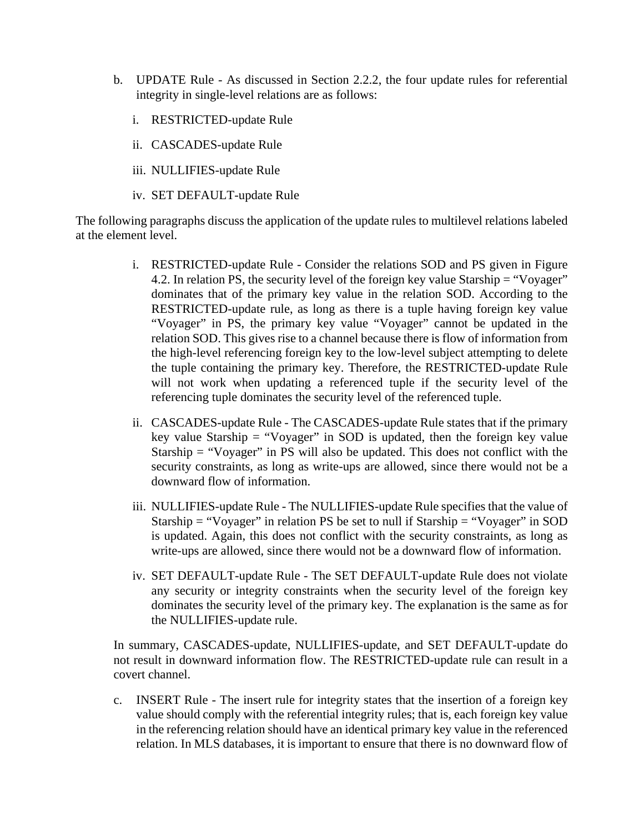- b. UPDATE Rule As discussed in Section 2.2.2, the four update rules for referential integrity in single-level relations are as follows:
	- i. RESTRICTED-update Rule
	- ii. CASCADES-update Rule
	- iii. NULLIFIES-update Rule
	- iv. SET DEFAULT-update Rule

The following paragraphs discuss the application of the update rules to multilevel relations labeled at the element level.

- i. RESTRICTED-update Rule Consider the relations SOD and PS given in Figure 4.2. In relation PS, the security level of the foreign key value Starship = "Voyager" dominates that of the primary key value in the relation SOD. According to the RESTRICTED-update rule, as long as there is a tuple having foreign key value "Voyager" in PS, the primary key value "Voyager" cannot be updated in the relation SOD. This gives rise to a channel because there is flow of information from the high-level referencing foreign key to the low-level subject attempting to delete the tuple containing the primary key. Therefore, the RESTRICTED-update Rule will not work when updating a referenced tuple if the security level of the referencing tuple dominates the security level of the referenced tuple.
- ii. CASCADES-update Rule The CASCADES-update Rule states that if the primary key value Starship = "Voyager" in SOD is updated, then the foreign key value Starship = "Voyager" in PS will also be updated. This does not conflict with the security constraints, as long as write-ups are allowed, since there would not be a downward flow of information.
- iii. NULLIFIES-update Rule The NULLIFIES-update Rule specifies that the value of Starship = "Voyager" in relation PS be set to null if Starship = "Voyager" in SOD is updated. Again, this does not conflict with the security constraints, as long as write-ups are allowed, since there would not be a downward flow of information.
- iv. SET DEFAULT-update Rule The SET DEFAULT-update Rule does not violate any security or integrity constraints when the security level of the foreign key dominates the security level of the primary key. The explanation is the same as for the NULLIFIES-update rule.

In summary, CASCADES-update, NULLIFIES-update, and SET DEFAULT-update do not result in downward information flow. The RESTRICTED-update rule can result in a covert channel.

c. INSERT Rule - The insert rule for integrity states that the insertion of a foreign key value should comply with the referential integrity rules; that is, each foreign key value in the referencing relation should have an identical primary key value in the referenced relation. In MLS databases, it is important to ensure that there is no downward flow of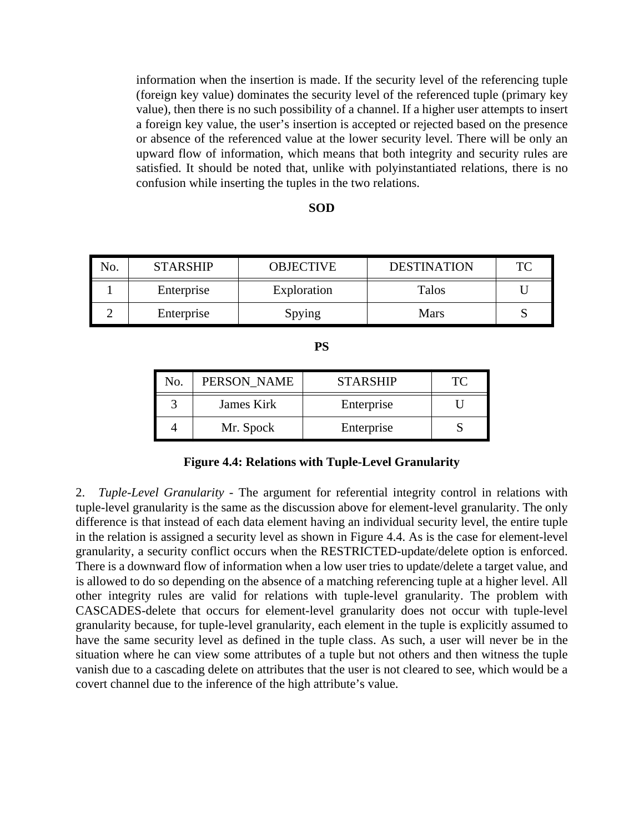information when the insertion is made. If the security level of the referencing tuple (foreign key value) dominates the security level of the referenced tuple (primary key value), then there is no such possibility of a channel. If a higher user attempts to insert a foreign key value, the user's insertion is accepted or rejected based on the presence or absence of the referenced value at the lower security level. There will be only an upward flow of information, which means that both integrity and security rules are satisfied. It should be noted that, unlike with polyinstantiated relations, there is no confusion while inserting the tuples in the two relations.

#### **SOD**

| No. | <b>STARSHIP</b> | <b>OBJECTIVE</b> | <b>DESTINATION</b> | TC |
|-----|-----------------|------------------|--------------------|----|
|     | Enterprise      | Exploration      | <b>Talos</b>       |    |
|     | Enterprise      | Spying           | <b>Mars</b>        |    |

| ۰.<br>I<br>۹<br>v |
|-------------------|
|                   |

| No. | PERSON NAME | <b>STARSHIP</b> |  |
|-----|-------------|-----------------|--|
|     | James Kirk  | Enterprise      |  |
|     | Mr. Spock   | Enterprise      |  |

#### **Figure 4.4: Relations with Tuple-Level Granularity**

2. *Tuple-Level Granularity* - The argument for referential integrity control in relations with tuple-level granularity is the same as the discussion above for element-level granularity. The only difference is that instead of each data element having an individual security level, the entire tuple in the relation is assigned a security level as shown in Figure 4.4. As is the case for element-level granularity, a security conflict occurs when the RESTRICTED-update/delete option is enforced. There is a downward flow of information when a low user tries to update/delete a target value, and is allowed to do so depending on the absence of a matching referencing tuple at a higher level. All other integrity rules are valid for relations with tuple-level granularity. The problem with CASCADES-delete that occurs for element-level granularity does not occur with tuple-level granularity because, for tuple-level granularity, each element in the tuple is explicitly assumed to have the same security level as defined in the tuple class. As such, a user will never be in the situation where he can view some attributes of a tuple but not others and then witness the tuple vanish due to a cascading delete on attributes that the user is not cleared to see, which would be a covert channel due to the inference of the high attribute's value.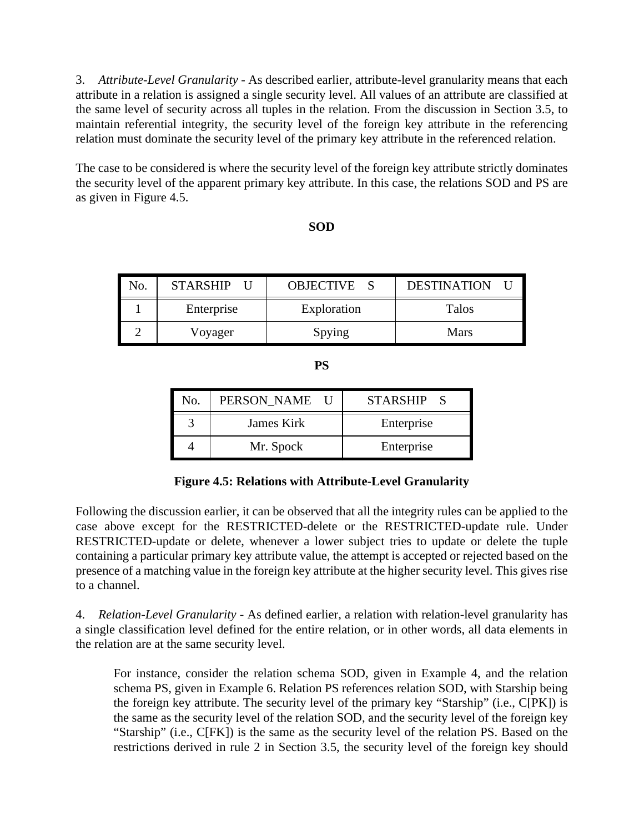3. *Attribute-Level Granularity* - As described earlier, attribute-level granularity means that each attribute in a relation is assigned a single security level. All values of an attribute are classified at the same level of security across all tuples in the relation. From the discussion in Section 3.5, to maintain referential integrity, the security level of the foreign key attribute in the referencing relation must dominate the security level of the primary key attribute in the referenced relation.

The case to be considered is where the security level of the foreign key attribute strictly dominates the security level of the apparent primary key attribute. In this case, the relations SOD and PS are as given in Figure 4.5.

### **SOD**

| No. | <b>STARSHIP</b> | OBJECTIVE S | <b>DESTINATION</b> |
|-----|-----------------|-------------|--------------------|
|     | Enterprise      | Exploration | Talos              |
|     | Voyager         | Spying      | Mars               |

**PS**

| No. | PERSON NAME U |  | <b>STARSHIP</b> |
|-----|---------------|--|-----------------|
|     | James Kirk    |  | Enterprise      |
|     | Mr. Spock     |  | Enterprise      |

**Figure 4.5: Relations with Attribute-Level Granularity**

Following the discussion earlier, it can be observed that all the integrity rules can be applied to the case above except for the RESTRICTED-delete or the RESTRICTED-update rule. Under RESTRICTED-update or delete, whenever a lower subject tries to update or delete the tuple containing a particular primary key attribute value, the attempt is accepted or rejected based on the presence of a matching value in the foreign key attribute at the higher security level. This gives rise to a channel.

4. *Relation-Level Granularity* - As defined earlier, a relation with relation-level granularity has a single classification level defined for the entire relation, or in other words, all data elements in the relation are at the same security level.

For instance, consider the relation schema SOD, given in Example 4, and the relation schema PS, given in Example 6. Relation PS references relation SOD, with Starship being the foreign key attribute. The security level of the primary key "Starship" (i.e., C[PK]) is the same as the security level of the relation SOD, and the security level of the foreign key "Starship" (i.e., C[FK]) is the same as the security level of the relation PS. Based on the restrictions derived in rule 2 in Section 3.5, the security level of the foreign key should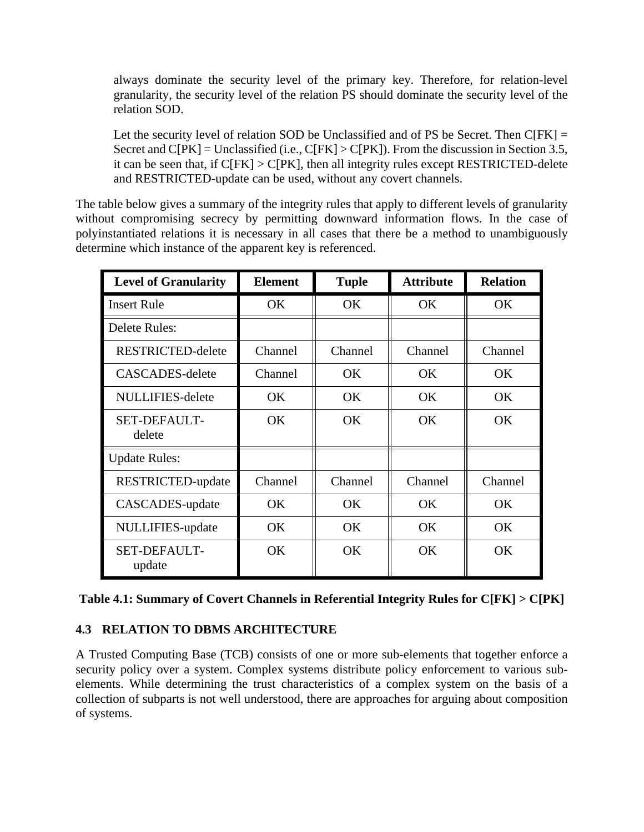always dominate the security level of the primary key. Therefore, for relation-level granularity, the security level of the relation PS should dominate the security level of the relation SOD.

Let the security level of relation SOD be Unclassified and of PS be Secret. Then  $C[FK] =$ Secret and  $C[PK] =$  Unclassified (i.e.,  $C[FK] > C[PK]$ ). From the discussion in Section 3.5, it can be seen that, if C[FK] > C[PK], then all integrity rules except RESTRICTED-delete and RESTRICTED-update can be used, without any covert channels.

The table below gives a summary of the integrity rules that apply to different levels of granularity without compromising secrecy by permitting downward information flows. In the case of polyinstantiated relations it is necessary in all cases that there be a method to unambiguously determine which instance of the apparent key is referenced.

| <b>Level of Granularity</b>   | <b>Element</b> | <b>Tuple</b> | <b>Attribute</b> | <b>Relation</b> |
|-------------------------------|----------------|--------------|------------------|-----------------|
| <b>Insert Rule</b>            | <b>OK</b>      | OK.          | <b>OK</b>        | <b>OK</b>       |
| Delete Rules:                 |                |              |                  |                 |
| RESTRICTED-delete             | Channel        | Channel      | Channel          | Channel         |
| CASCADES-delete               | Channel        | OK.          | OK.              | <b>OK</b>       |
| <b>NULLIFIES-delete</b>       | <b>OK</b>      | OK.          | <b>OK</b>        | <b>OK</b>       |
| <b>SET-DEFAULT-</b><br>delete | <b>OK</b>      | <b>OK</b>    | OK               | OK              |
| <b>Update Rules:</b>          |                |              |                  |                 |
| RESTRICTED-update             | Channel        | Channel      | Channel          | Channel         |
| CASCADES-update               | <b>OK</b>      | <b>OK</b>    | <b>OK</b>        | <b>OK</b>       |
| NULLIFIES-update              | <b>OK</b>      | <b>OK</b>    | <b>OK</b>        | <b>OK</b>       |
| <b>SET-DEFAULT-</b><br>update | <b>OK</b>      | OK.          | OK.              | <b>OK</b>       |

| Table 4.1: Summary of Covert Channels in Referential Integrity Rules for C[FK] > C[PK] |  |  |  |  |
|----------------------------------------------------------------------------------------|--|--|--|--|
|                                                                                        |  |  |  |  |

## **4.3 RELATION TO DBMS ARCHITECTURE**

A Trusted Computing Base (TCB) consists of one or more sub-elements that together enforce a security policy over a system. Complex systems distribute policy enforcement to various subelements. While determining the trust characteristics of a complex system on the basis of a collection of subparts is not well understood, there are approaches for arguing about composition of systems.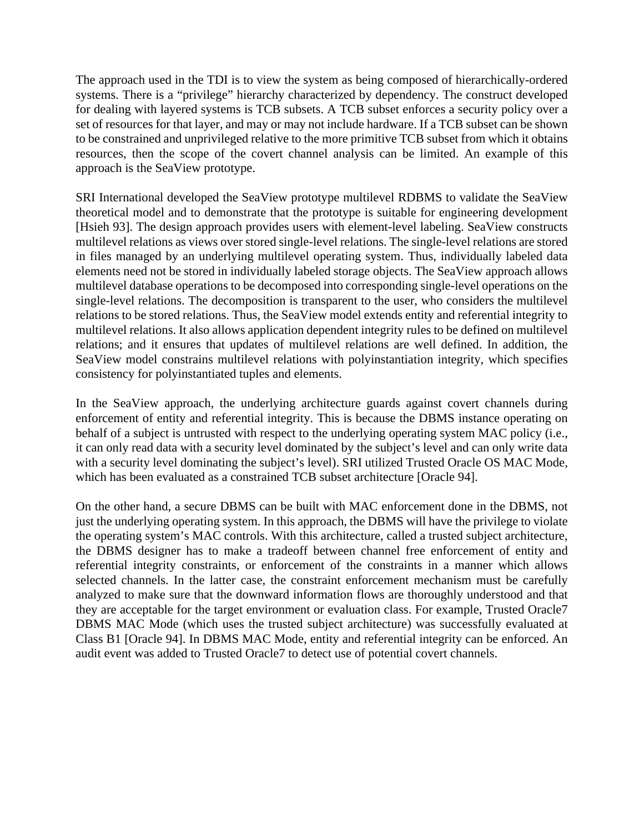The approach used in the TDI is to view the system as being composed of hierarchically-ordered systems. There is a "privilege" hierarchy characterized by dependency. The construct developed for dealing with layered systems is TCB subsets. A TCB subset enforces a security policy over a set of resources for that layer, and may or may not include hardware. If a TCB subset can be shown to be constrained and unprivileged relative to the more primitive TCB subset from which it obtains resources, then the scope of the covert channel analysis can be limited. An example of this approach is the SeaView prototype.

SRI International developed the SeaView prototype multilevel RDBMS to validate the SeaView theoretical model and to demonstrate that the prototype is suitable for engineering development [Hsieh 93]. The design approach provides users with element-level labeling. SeaView constructs multilevel relations as views over stored single-level relations. The single-level relations are stored in files managed by an underlying multilevel operating system. Thus, individually labeled data elements need not be stored in individually labeled storage objects. The SeaView approach allows multilevel database operations to be decomposed into corresponding single-level operations on the single-level relations. The decomposition is transparent to the user, who considers the multilevel relations to be stored relations. Thus, the SeaView model extends entity and referential integrity to multilevel relations. It also allows application dependent integrity rules to be defined on multilevel relations; and it ensures that updates of multilevel relations are well defined. In addition, the SeaView model constrains multilevel relations with polyinstantiation integrity, which specifies consistency for polyinstantiated tuples and elements.

In the SeaView approach, the underlying architecture guards against covert channels during enforcement of entity and referential integrity. This is because the DBMS instance operating on behalf of a subject is untrusted with respect to the underlying operating system MAC policy (i.e., it can only read data with a security level dominated by the subject's level and can only write data with a security level dominating the subject's level). SRI utilized Trusted Oracle OS MAC Mode, which has been evaluated as a constrained TCB subset architecture [Oracle 94].

On the other hand, a secure DBMS can be built with MAC enforcement done in the DBMS, not just the underlying operating system. In this approach, the DBMS will have the privilege to violate the operating system's MAC controls. With this architecture, called a trusted subject architecture, the DBMS designer has to make a tradeoff between channel free enforcement of entity and referential integrity constraints, or enforcement of the constraints in a manner which allows selected channels. In the latter case, the constraint enforcement mechanism must be carefully analyzed to make sure that the downward information flows are thoroughly understood and that they are acceptable for the target environment or evaluation class. For example, Trusted Oracle7 DBMS MAC Mode (which uses the trusted subject architecture) was successfully evaluated at Class B1 [Oracle 94]. In DBMS MAC Mode, entity and referential integrity can be enforced. An audit event was added to Trusted Oracle7 to detect use of potential covert channels.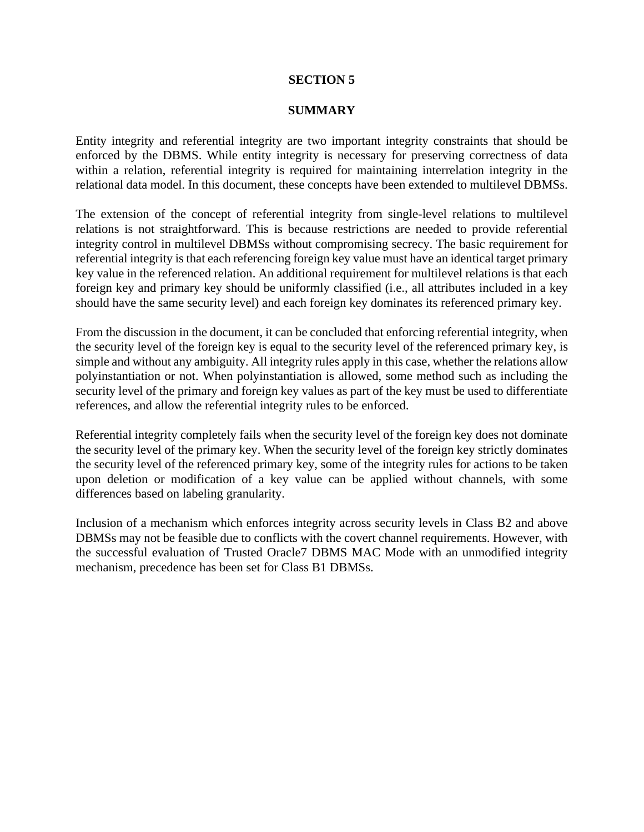#### **SECTION 5**

#### **SUMMARY**

Entity integrity and referential integrity are two important integrity constraints that should be enforced by the DBMS. While entity integrity is necessary for preserving correctness of data within a relation, referential integrity is required for maintaining interrelation integrity in the relational data model. In this document, these concepts have been extended to multilevel DBMSs.

The extension of the concept of referential integrity from single-level relations to multilevel relations is not straightforward. This is because restrictions are needed to provide referential integrity control in multilevel DBMSs without compromising secrecy. The basic requirement for referential integrity is that each referencing foreign key value must have an identical target primary key value in the referenced relation. An additional requirement for multilevel relations is that each foreign key and primary key should be uniformly classified (i.e., all attributes included in a key should have the same security level) and each foreign key dominates its referenced primary key.

From the discussion in the document, it can be concluded that enforcing referential integrity, when the security level of the foreign key is equal to the security level of the referenced primary key, is simple and without any ambiguity. All integrity rules apply in this case, whether the relations allow polyinstantiation or not. When polyinstantiation is allowed, some method such as including the security level of the primary and foreign key values as part of the key must be used to differentiate references, and allow the referential integrity rules to be enforced.

Referential integrity completely fails when the security level of the foreign key does not dominate the security level of the primary key. When the security level of the foreign key strictly dominates the security level of the referenced primary key, some of the integrity rules for actions to be taken upon deletion or modification of a key value can be applied without channels, with some differences based on labeling granularity.

Inclusion of a mechanism which enforces integrity across security levels in Class B2 and above DBMSs may not be feasible due to conflicts with the covert channel requirements. However, with the successful evaluation of Trusted Oracle7 DBMS MAC Mode with an unmodified integrity mechanism, precedence has been set for Class B1 DBMSs.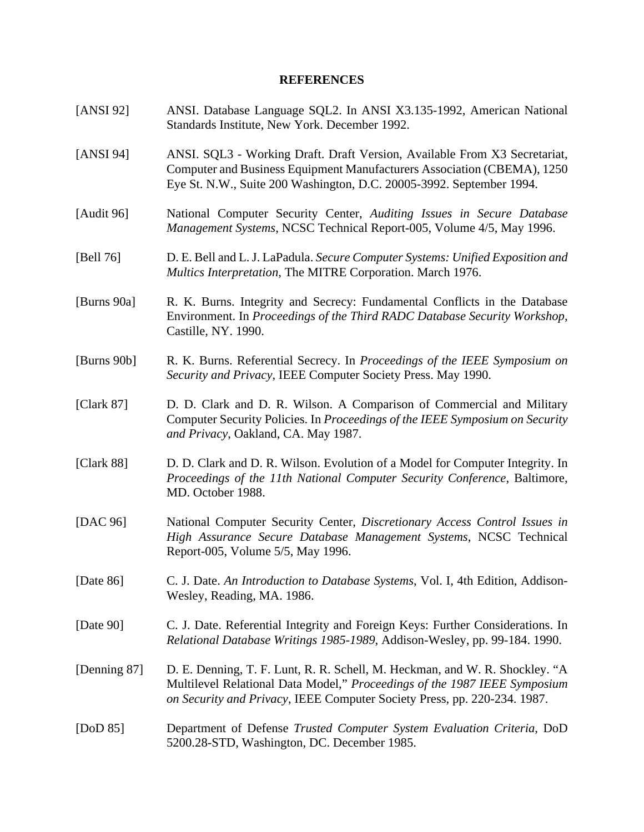## **REFERENCES**

| [ANSI 92]      | ANSI. Database Language SQL2. In ANSI X3.135-1992, American National<br>Standards Institute, New York. December 1992.                                                                                                                |
|----------------|--------------------------------------------------------------------------------------------------------------------------------------------------------------------------------------------------------------------------------------|
| [ $ANSI 94$ ]  | ANSI. SQL3 - Working Draft. Draft Version, Available From X3 Secretariat,<br>Computer and Business Equipment Manufacturers Association (CBEMA), 1250<br>Eye St. N.W., Suite 200 Washington, D.C. 20005-3992. September 1994.         |
| [Audit 96]     | National Computer Security Center, Auditing Issues in Secure Database<br>Management Systems, NCSC Technical Report-005, Volume 4/5, May 1996.                                                                                        |
| [Bell 76]      | D. E. Bell and L. J. LaPadula. Secure Computer Systems: Unified Exposition and<br>Multics Interpretation, The MITRE Corporation. March 1976.                                                                                         |
| [Burns 90a]    | R. K. Burns. Integrity and Secrecy: Fundamental Conflicts in the Database<br>Environment. In Proceedings of the Third RADC Database Security Workshop,<br>Castille, NY. 1990.                                                        |
| [Burns $90b$ ] | R. K. Burns. Referential Secrecy. In Proceedings of the IEEE Symposium on<br>Security and Privacy, IEEE Computer Society Press. May 1990.                                                                                            |
| [Clark $87$ ]  | D. D. Clark and D. R. Wilson. A Comparison of Commercial and Military<br>Computer Security Policies. In Proceedings of the IEEE Symposium on Security<br>and Privacy, Oakland, CA. May 1987.                                         |
| [ $Clark 88$ ] | D. D. Clark and D. R. Wilson. Evolution of a Model for Computer Integrity. In<br>Proceedings of the 11th National Computer Security Conference, Baltimore,<br>MD. October 1988.                                                      |
| [DAC $96$ ]    | National Computer Security Center, Discretionary Access Control Issues in<br>High Assurance Secure Database Management Systems, NCSC Technical<br>Report-005, Volume 5/5, May 1996.                                                  |
| [Date 86]      | C. J. Date. An Introduction to Database Systems, Vol. I, 4th Edition, Addison-<br>Wesley, Reading, MA. 1986.                                                                                                                         |
| [Date $90$ ]   | C. J. Date. Referential Integrity and Foreign Keys: Further Considerations. In<br>Relational Database Writings 1985-1989, Addison-Wesley, pp. 99-184. 1990.                                                                          |
| [Denning 87]   | D. E. Denning, T. F. Lunt, R. R. Schell, M. Heckman, and W. R. Shockley. "A<br>Multilevel Relational Data Model," Proceedings of the 1987 IEEE Symposium<br>on Security and Privacy, IEEE Computer Society Press, pp. 220-234. 1987. |
| [DoD $85$ ]    | Department of Defense Trusted Computer System Evaluation Criteria, DoD<br>5200.28-STD, Washington, DC. December 1985.                                                                                                                |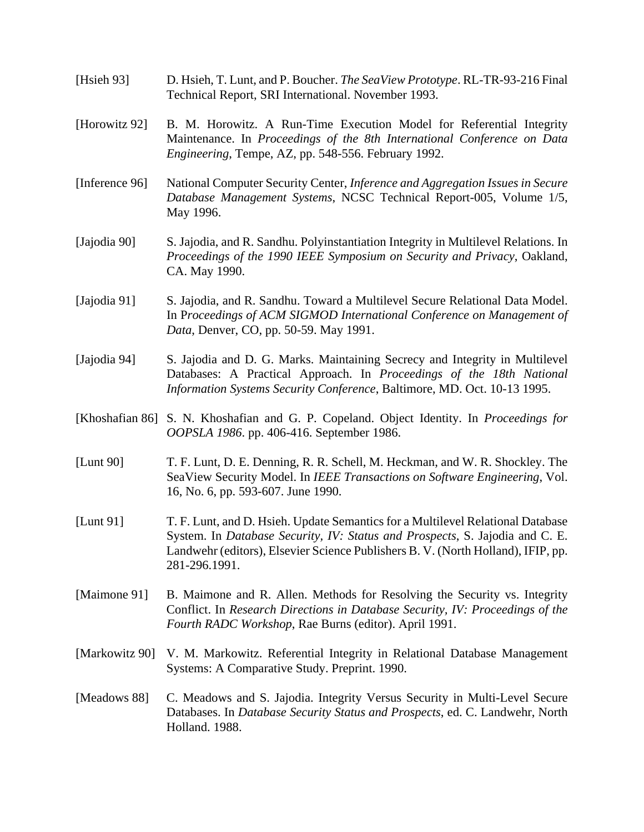[Hsieh 93] D. Hsieh, T. Lunt, and P. Boucher. *The SeaView Prototype*. RL-TR-93-216 Final Technical Report, SRI International. November 1993. [Horowitz 92] B. M. Horowitz. A Run-Time Execution Model for Referential Integrity Maintenance. In *Proceedings of the 8th International Conference on Data Engineering*, Tempe, AZ, pp. 548-556. February 1992. [Inference 96] National Computer Security Center, *Inference and Aggregation Issues in Secure Database Management Systems*, NCSC Technical Report-005, Volume 1/5, May 1996. [Jajodia 90] S. Jajodia, and R. Sandhu. Polyinstantiation Integrity in Multilevel Relations. In *Proceedings of the 1990 IEEE Symposium on Security and Privacy*, Oakland, CA. May 1990. [Jajodia 91] S. Jajodia, and R. Sandhu. Toward a Multilevel Secure Relational Data Model. In P*roceedings of ACM SIGMOD International Conference on Management of Data*, Denver, CO, pp. 50-59. May 1991. [Jajodia 94] S. Jajodia and D. G. Marks. Maintaining Secrecy and Integrity in Multilevel Databases: A Practical Approach. In *Proceedings of the 18th National Information Systems Security Conference*, Baltimore, MD. Oct. 10-13 1995. [Khoshafian 86] S. N. Khoshafian and G. P. Copeland. Object Identity. In *Proceedings for OOPSLA 1986*. pp. 406-416. September 1986. [Lunt 90] T. F. Lunt, D. E. Denning, R. R. Schell, M. Heckman, and W. R. Shockley. The SeaView Security Model. In *IEEE Transactions on Software Engineering*, Vol. 16, No. 6, pp. 593-607. June 1990. [Lunt 91] T. F. Lunt, and D. Hsieh. Update Semantics for a Multilevel Relational Database System. In *Database Security, IV: Status and Prospects*, S. Jajodia and C. E. Landwehr (editors), Elsevier Science Publishers B. V. (North Holland), IFIP, pp. 281-296.1991. [Maimone 91] B. Maimone and R. Allen. Methods for Resolving the Security vs. Integrity Conflict. In *Research Directions in Database Security, IV: Proceedings of the Fourth RADC Workshop*, Rae Burns (editor). April 1991. [Markowitz 90] V. M. Markowitz. Referential Integrity in Relational Database Management Systems: A Comparative Study. Preprint. 1990. [Meadows 88] C. Meadows and S. Jajodia. Integrity Versus Security in Multi-Level Secure Databases. In *Database Security Status and Prospects*, ed. C. Landwehr, North Holland. 1988.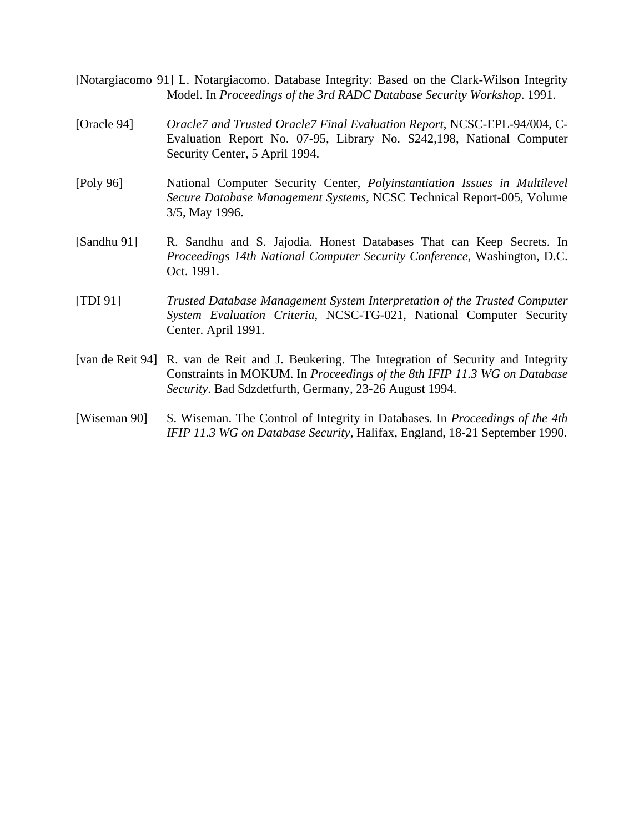- [Notargiacomo 91] L. Notargiacomo. Database Integrity: Based on the Clark-Wilson Integrity Model. In *Proceedings of the 3rd RADC Database Security Workshop*. 1991.
- [Oracle 94] *Oracle7 and Trusted Oracle7 Final Evaluation Report*, NCSC-EPL-94/004, C-Evaluation Report No. 07-95, Library No. S242,198, National Computer Security Center, 5 April 1994.
- [Poly 96] National Computer Security Center, *Polyinstantiation Issues in Multilevel Secure Database Management Systems*, NCSC Technical Report-005, Volume 3/5, May 1996.
- [Sandhu 91] R. Sandhu and S. Jajodia. Honest Databases That can Keep Secrets. In *Proceedings 14th National Computer Security Conference*, Washington, D.C. Oct. 1991.
- [TDI 91] *Trusted Database Management System Interpretation of the Trusted Computer System Evaluation Criteria*, NCSC-TG-021, National Computer Security Center. April 1991.
- [van de Reit 94] R. van de Reit and J. Beukering. The Integration of Security and Integrity Constraints in MOKUM. In *Proceedings of the 8th IFIP 11.3 WG on Database Security*. Bad Sdzdetfurth, Germany, 23-26 August 1994.
- [Wiseman 90] S. Wiseman. The Control of Integrity in Databases. In *Proceedings of the 4th IFIP 11.3 WG on Database Security*, Halifax, England, 18-21 September 1990.